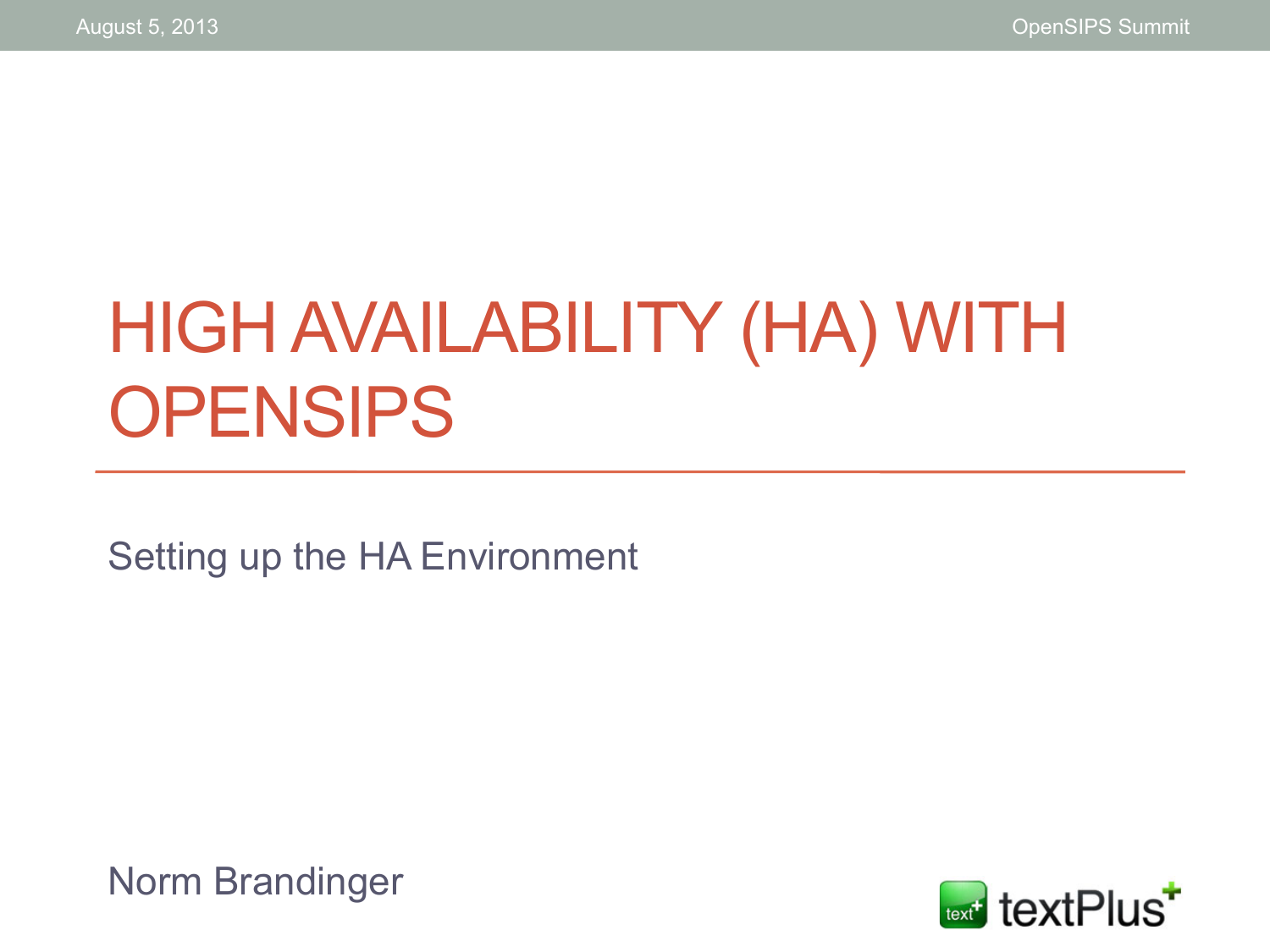# HIGH AVAILABILITY (HA) WITH **OPENSIPS**

Setting up the HA Environment

Norm Brandinger

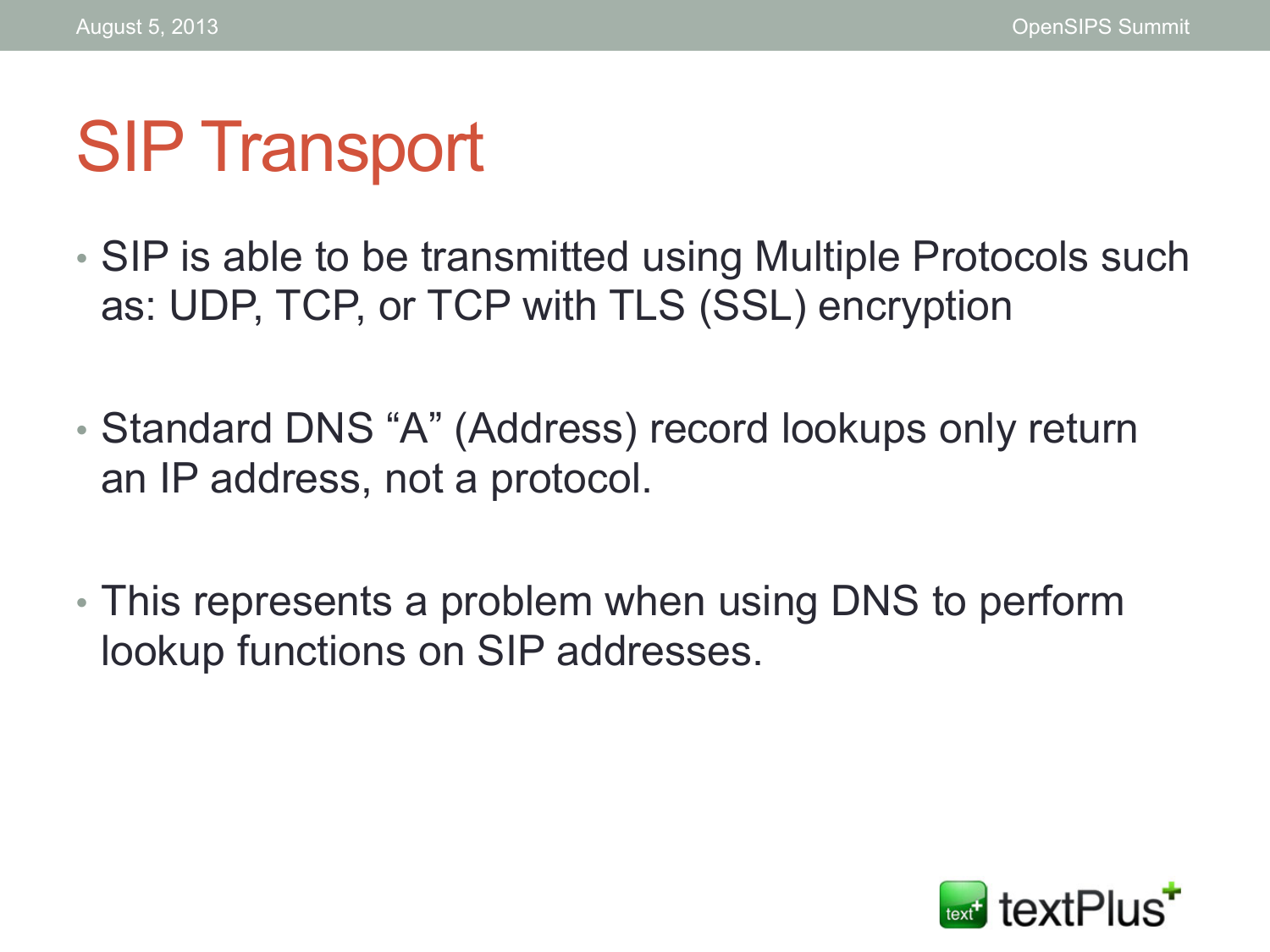# SIP Transport

- SIP is able to be transmitted using Multiple Protocols such as: UDP, TCP, or TCP with TLS (SSL) encryption
- Standard DNS "A" (Address) record lookups only return an IP address, not a protocol.
- This represents a problem when using DNS to perform lookup functions on SIP addresses.

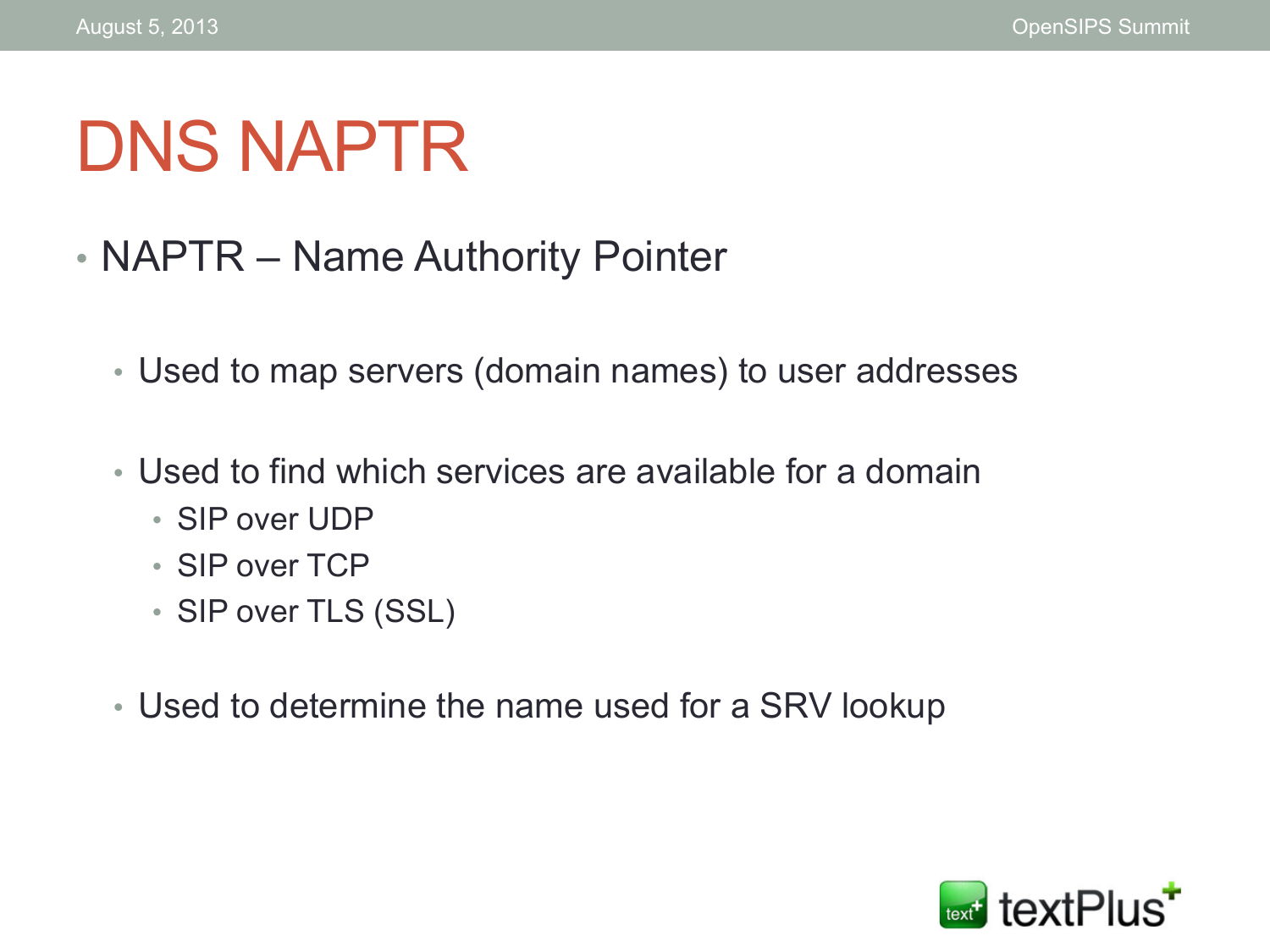# DNS NAPTR

- NAPTR Name Authority Pointer
	- Used to map servers (domain names) to user addresses
	- Used to find which services are available for a domain
		- SIP over UDP
		- SIP over TCP
		- SIP over TLS (SSL)
	- Used to determine the name used for a SRV lookup

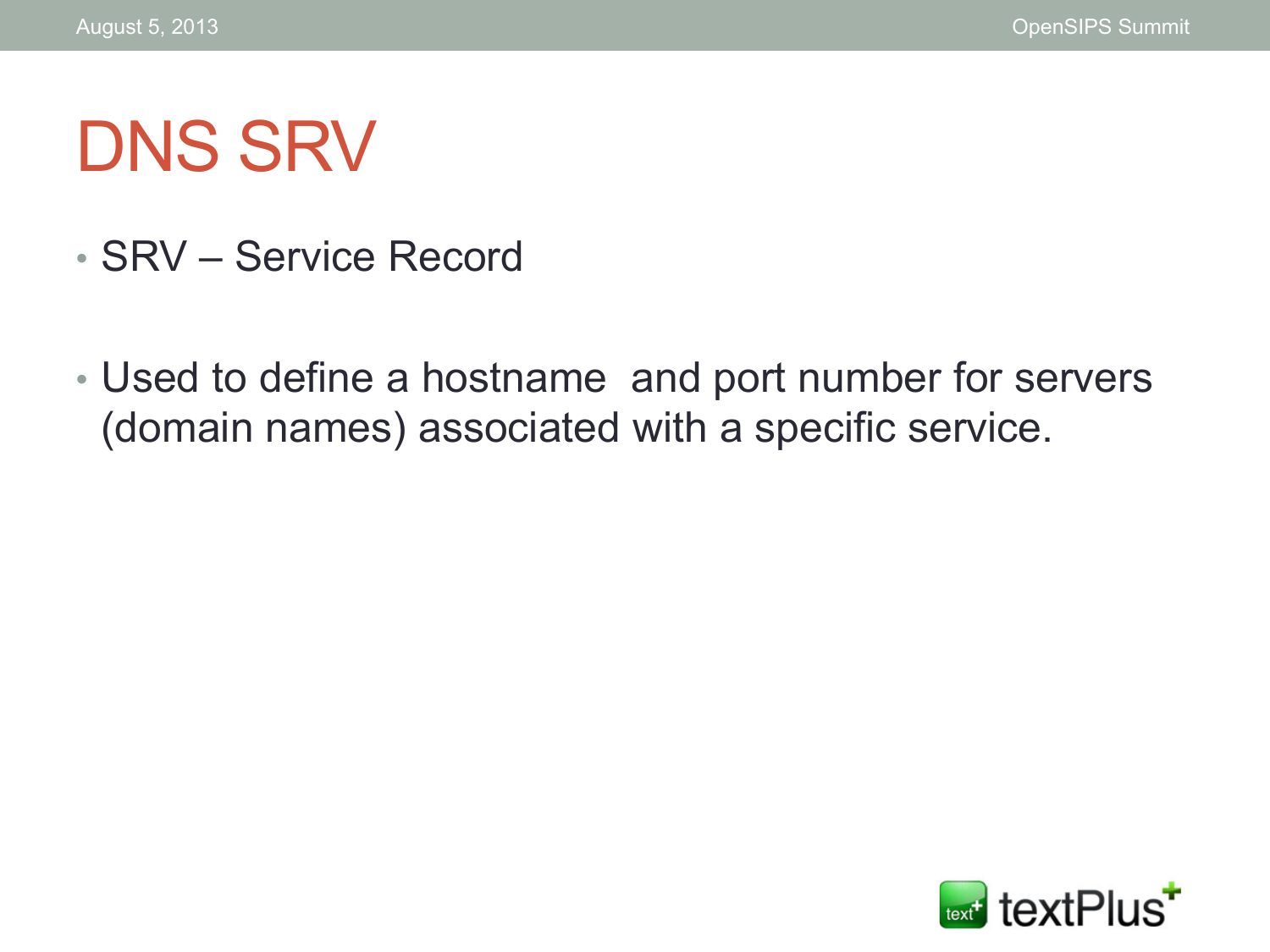# DNS SRV

- SRV Service Record
- Used to define a hostname and port number for servers (domain names) associated with a specific service.

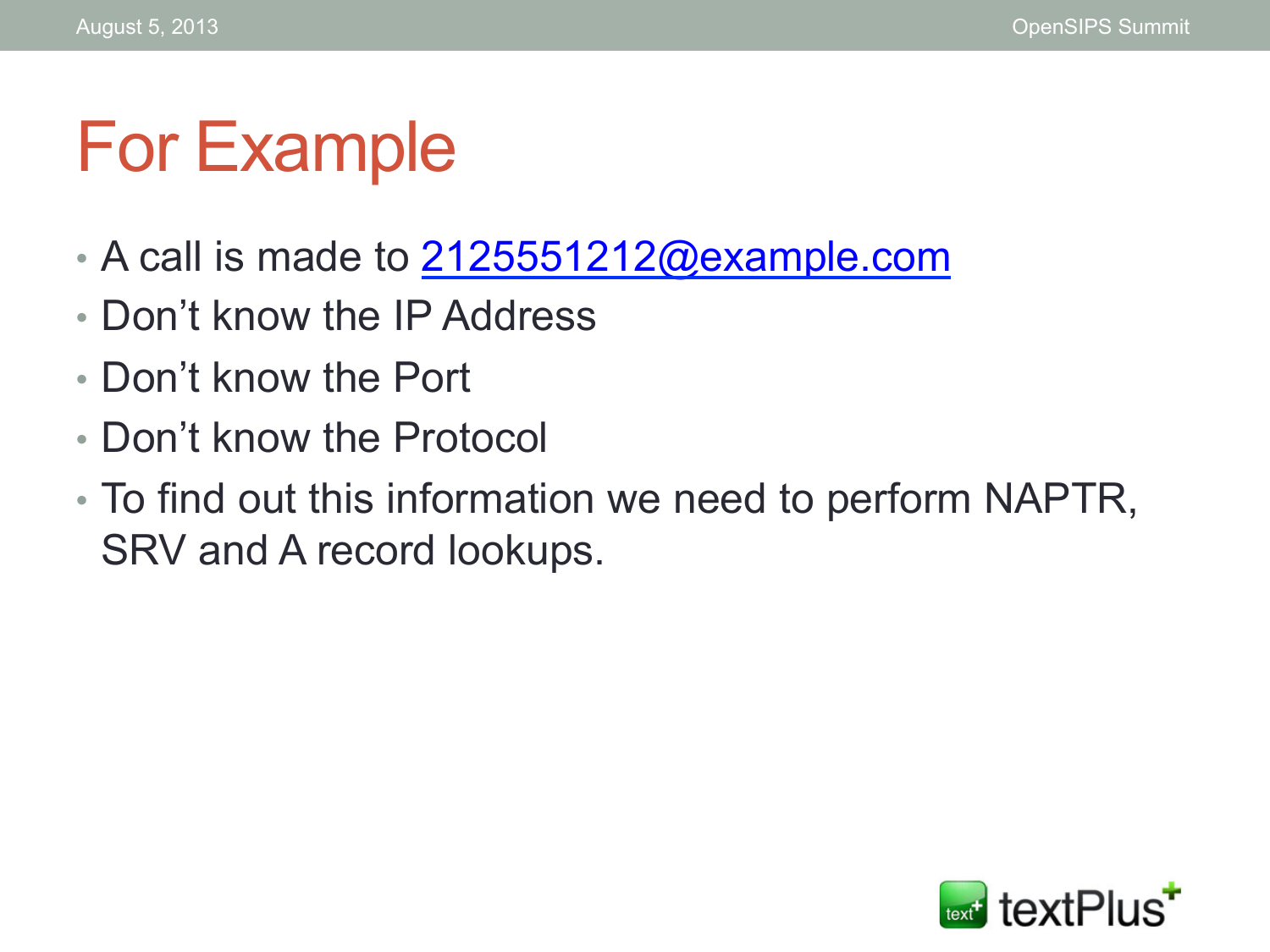#### For Example

- $\cdot$  A call is made to  $2125551212@$ example.com
- Don't know the IP Address
- Don't know the Port
- Don't know the Protocol
- To find out this information we need to perform NAPTR, SRV and A record lookups.

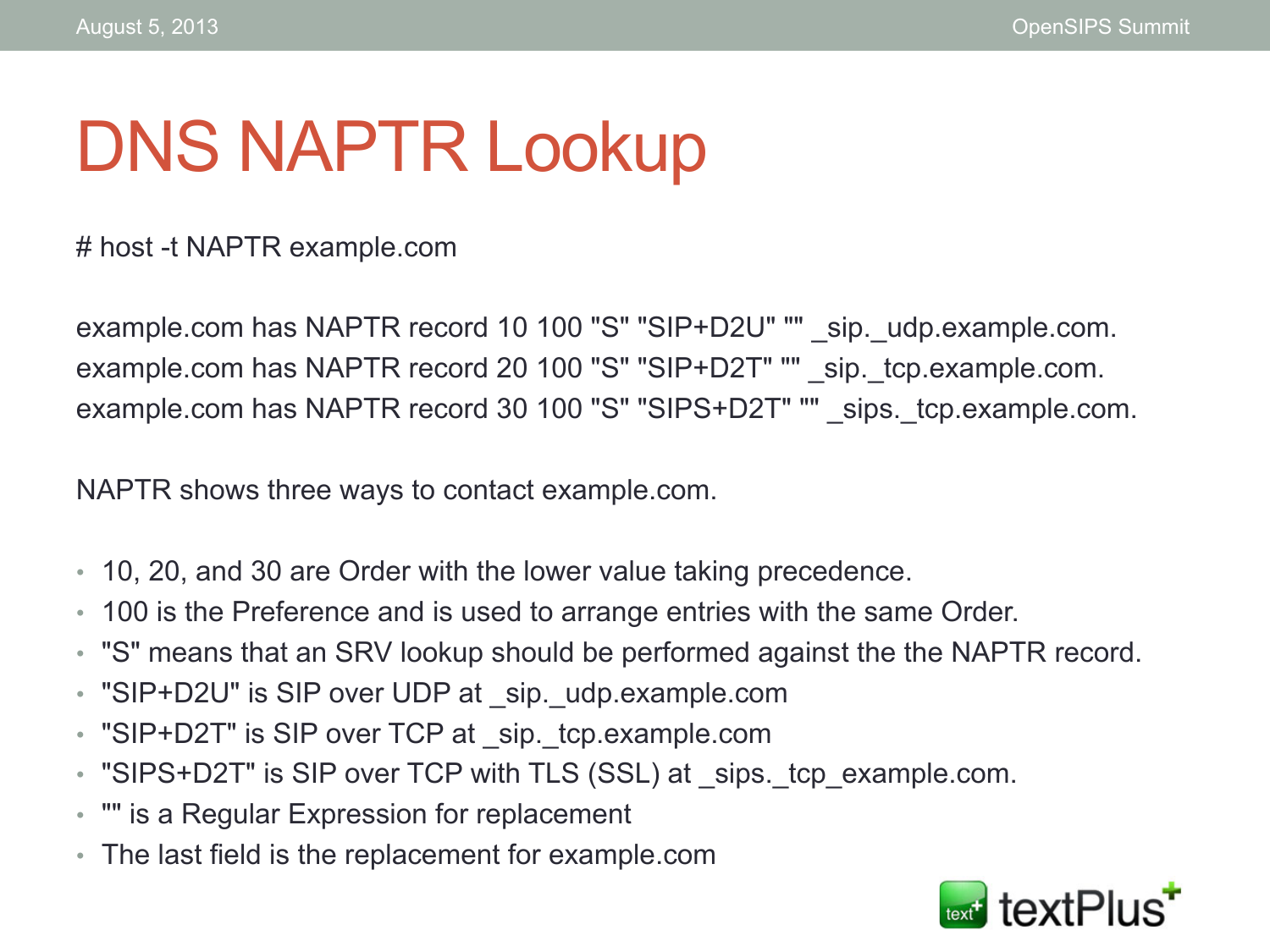# DNS NAPTR Lookup

# host -t NAPTR example.com

example.com has NAPTR record 10 100 "S" "SIP+D2U" "" sip. udp.example.com. example.com has NAPTR record 20 100 "S" "SIP+D2T" "" sip. tcp.example.com. example.com has NAPTR record 30 100 "S" "SIPS+D2T" "" \_sips.\_tcp.example.com.

NAPTR shows three ways to contact example.com.

- 10, 20, and 30 are Order with the lower value taking precedence.
- 100 is the Preference and is used to arrange entries with the same Order.
- "S" means that an SRV lookup should be performed against the the NAPTR record.
- "SIP+D2U" is SIP over UDP at sip. udp.example.com
- "SIP+D2T" is SIP over TCP at sip. tcp.example.com
- "SIPS+D2T" is SIP over TCP with TLS (SSL) at \_sips. tcp\_example.com.
- "" is a Regular Expression for replacement
- The last field is the replacement for example.com

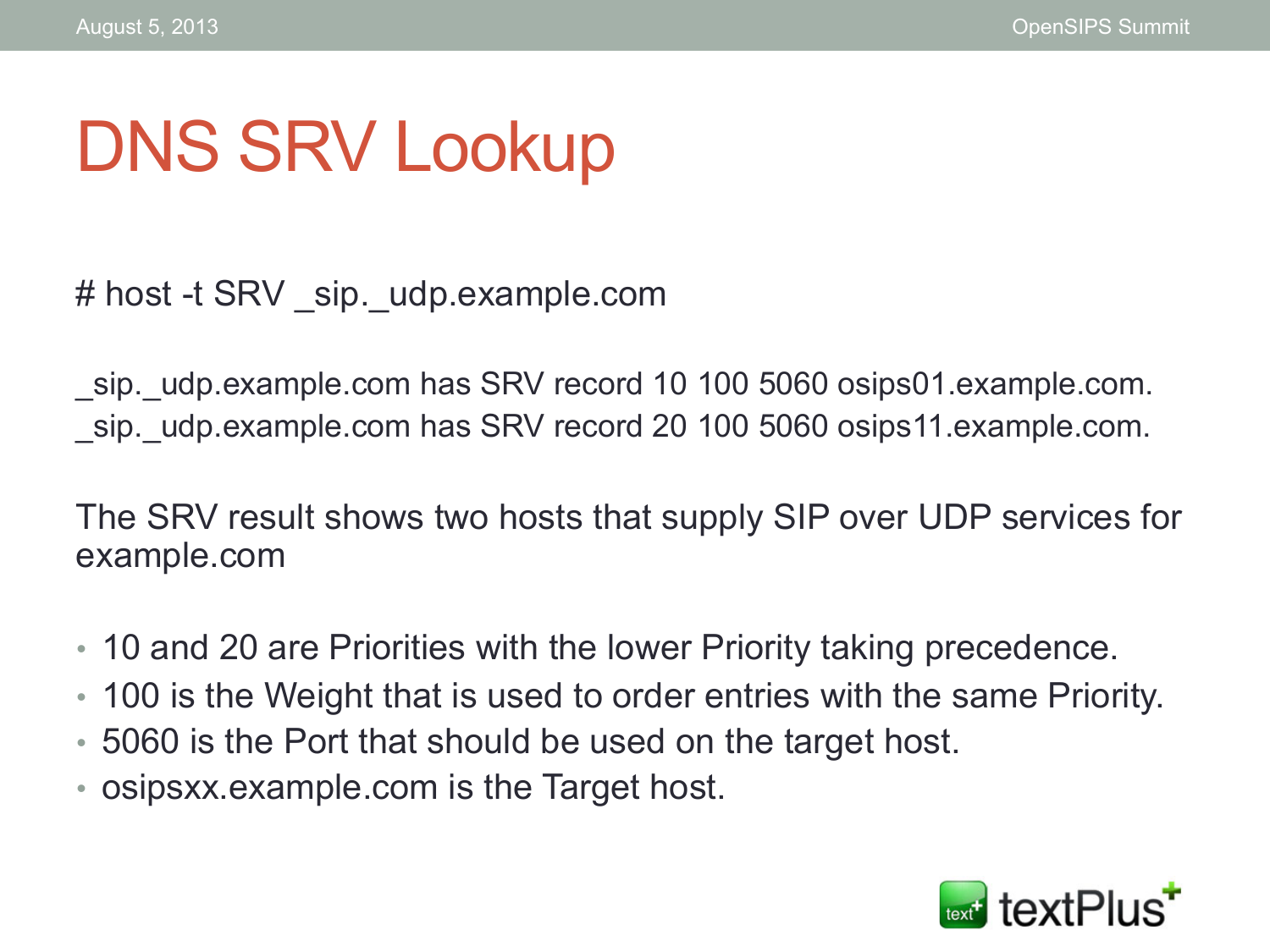# DNS SRV Lookup

# host -t SRV \_sip. udp.example.com

\_sip.\_udp.example.com has SRV record 10 100 5060 osips01.example.com. sip. udp.example.com has SRV record 20 100 5060 osips11.example.com.

The SRV result shows two hosts that supply SIP over UDP services for example.com

- 10 and 20 are Priorities with the lower Priority taking precedence.
- 100 is the Weight that is used to order entries with the same Priority.
- 5060 is the Port that should be used on the target host.
- osipsxx.example.com is the Target host.

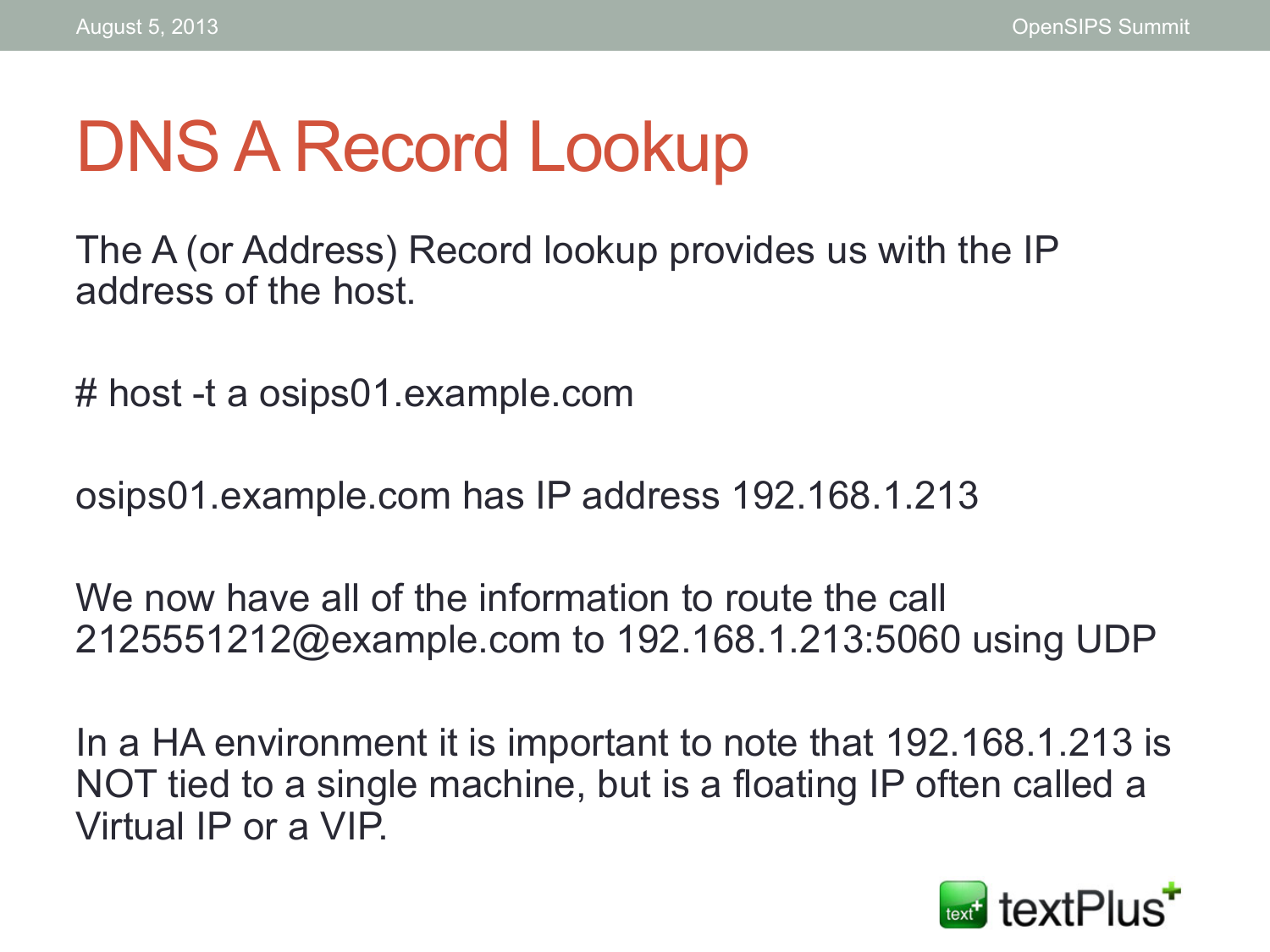# DNS A Record Lookup

The A (or Address) Record lookup provides us with the IP address of the host.

# host -t a osips01.example.com

osips01.example.com has IP address 192.168.1.213

We now have all of the information to route the call 2125551212@example.com to 192.168.1.213:5060 using UDP

In a HA environment it is important to note that 192.168.1.213 is NOT tied to a single machine, but is a floating IP often called a Virtual IP or a VIP.

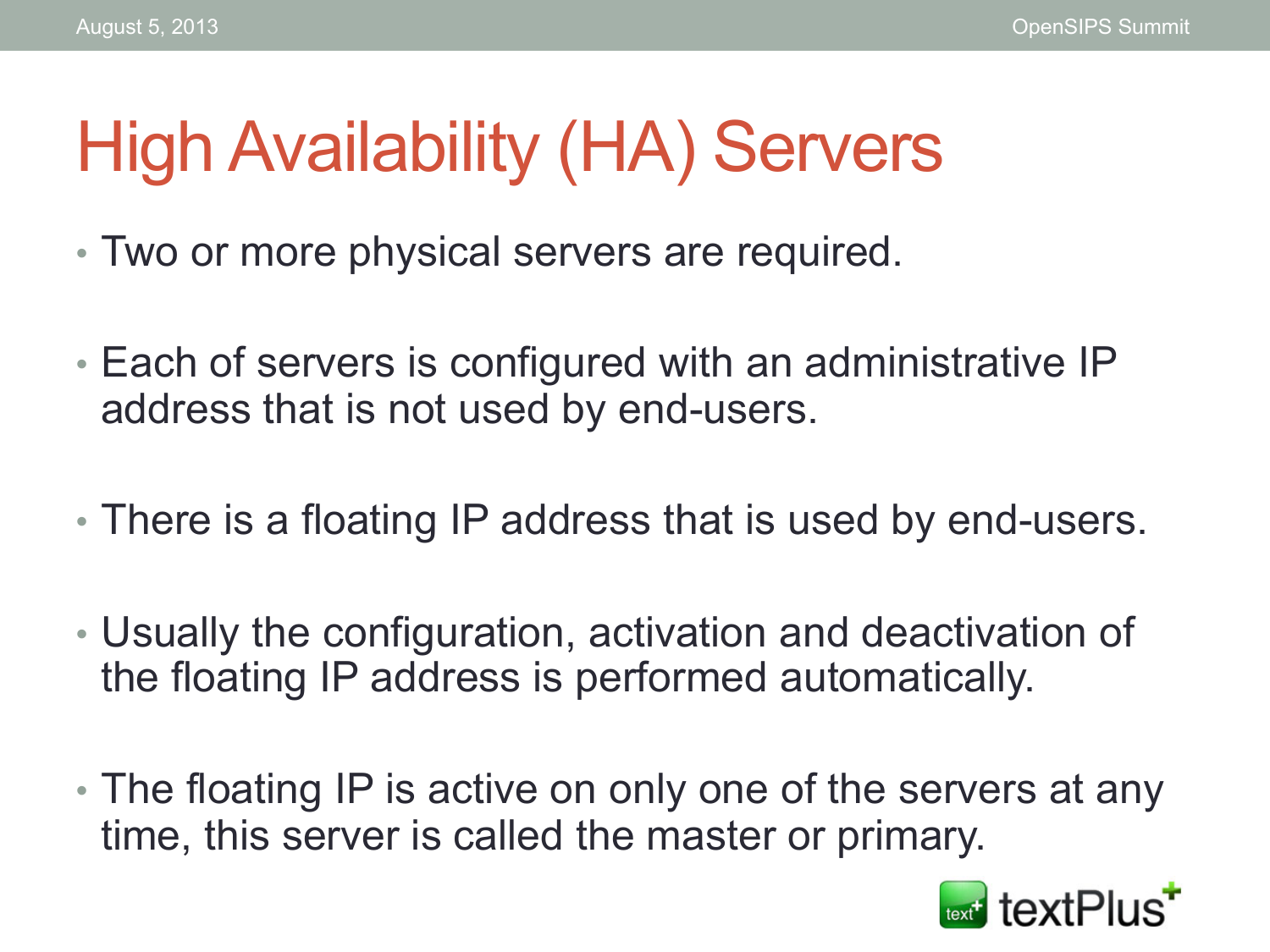# High Availability (HA) Servers

- Two or more physical servers are required.
- Each of servers is configured with an administrative IP address that is not used by end-users.
- There is a floating IP address that is used by end-users.
- Usually the configuration, activation and deactivation of the floating IP address is performed automatically.
- The floating IP is active on only one of the servers at any time, this server is called the master or primary.

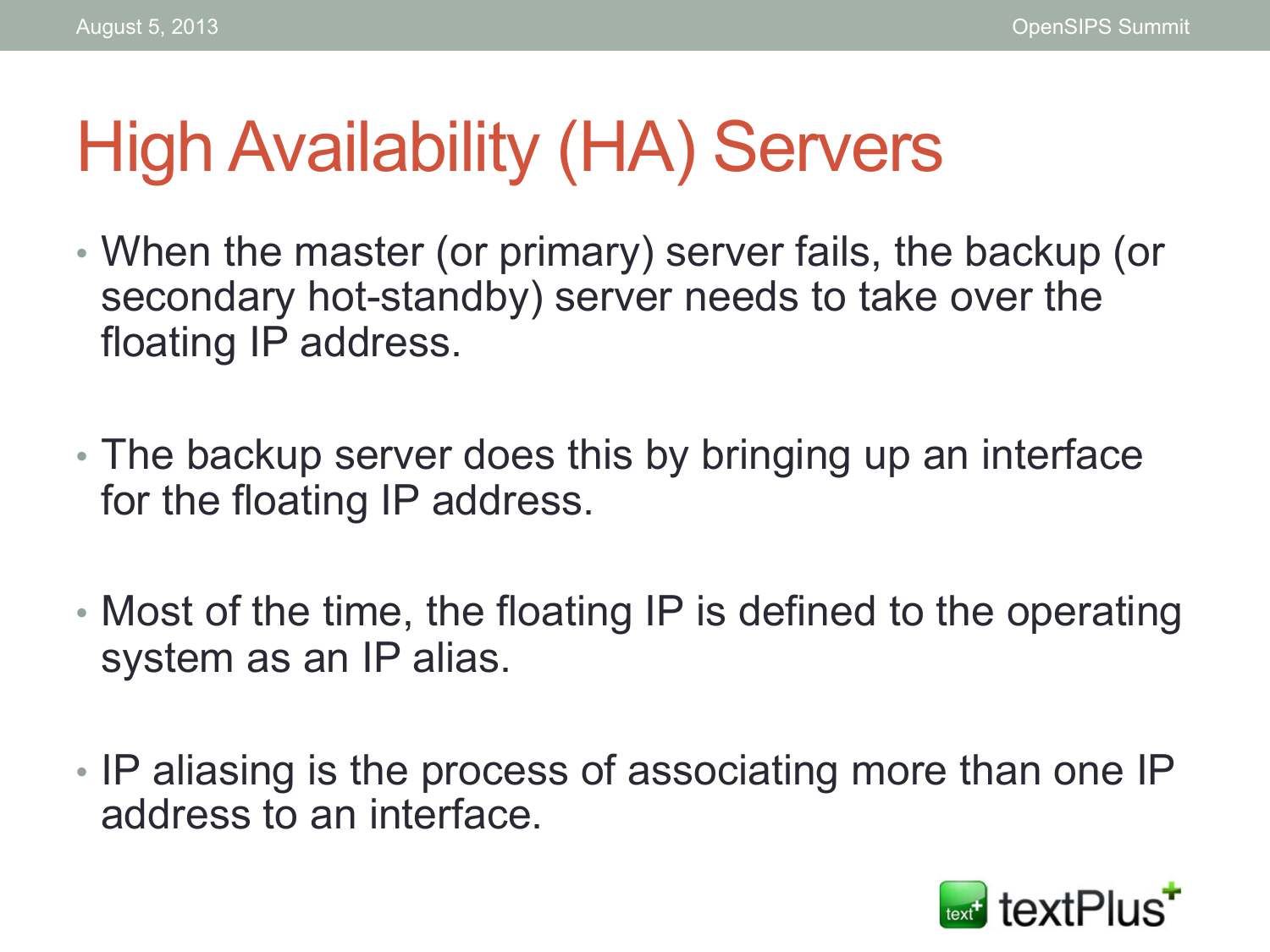## High Availability (HA) Servers

- When the master (or primary) server fails, the backup (or secondary hot-standby) server needs to take over the floating IP address.
- The backup server does this by bringing up an interface for the floating IP address.
- Most of the time, the floating IP is defined to the operating system as an IP alias.
- IP aliasing is the process of associating more than one IP address to an interface.

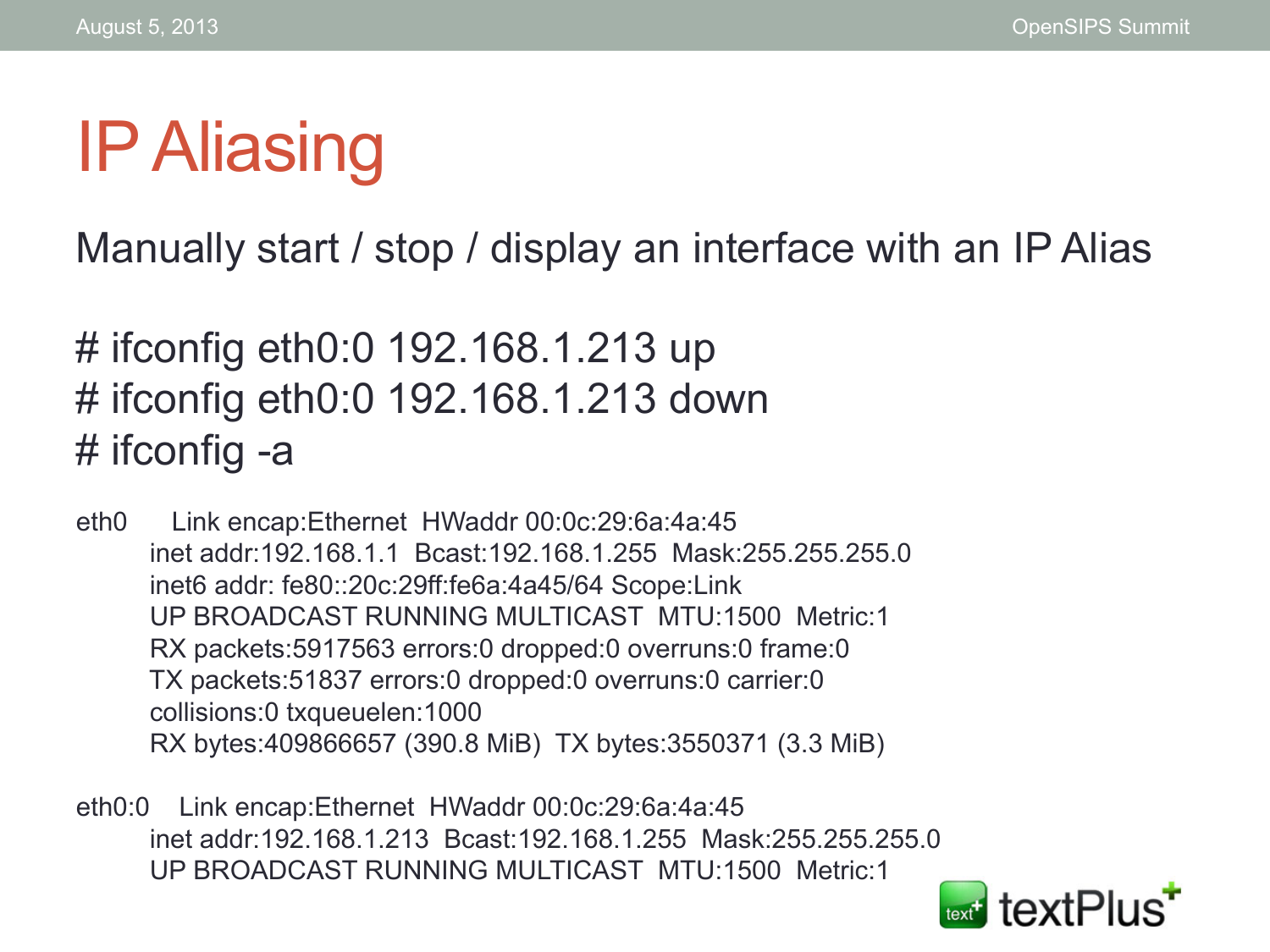# IP Aliasing

Manually start / stop / display an interface with an IP Alias

# ifconfig eth0:0 192.168.1.213 up # ifconfig eth0:0 192.168.1.213 down # ifconfig -a

eth0 Link encap:Ethernet HWaddr 00:0c:29:6a:4a:45 inet addr:192.168.1.1 Bcast:192.168.1.255 Mask:255.255.255.0 inet6 addr: fe80::20c:29ff:fe6a:4a45/64 Scope:Link UP BROADCAST RUNNING MULTICAST MTU:1500 Metric:1 RX packets:5917563 errors:0 dropped:0 overruns:0 frame:0 TX packets:51837 errors:0 dropped:0 overruns:0 carrier:0 collisions:0 txqueuelen:1000 RX bytes:409866657 (390.8 MiB) TX bytes:3550371 (3.3 MiB)

eth0:0 Link encap:Ethernet HWaddr 00:0c:29:6a:4a:45 inet addr:192.168.1.213 Bcast:192.168.1.255 Mask:255.255.255.0 UP BROADCAST RUNNING MULTICAST MTU:1500 Metric:1

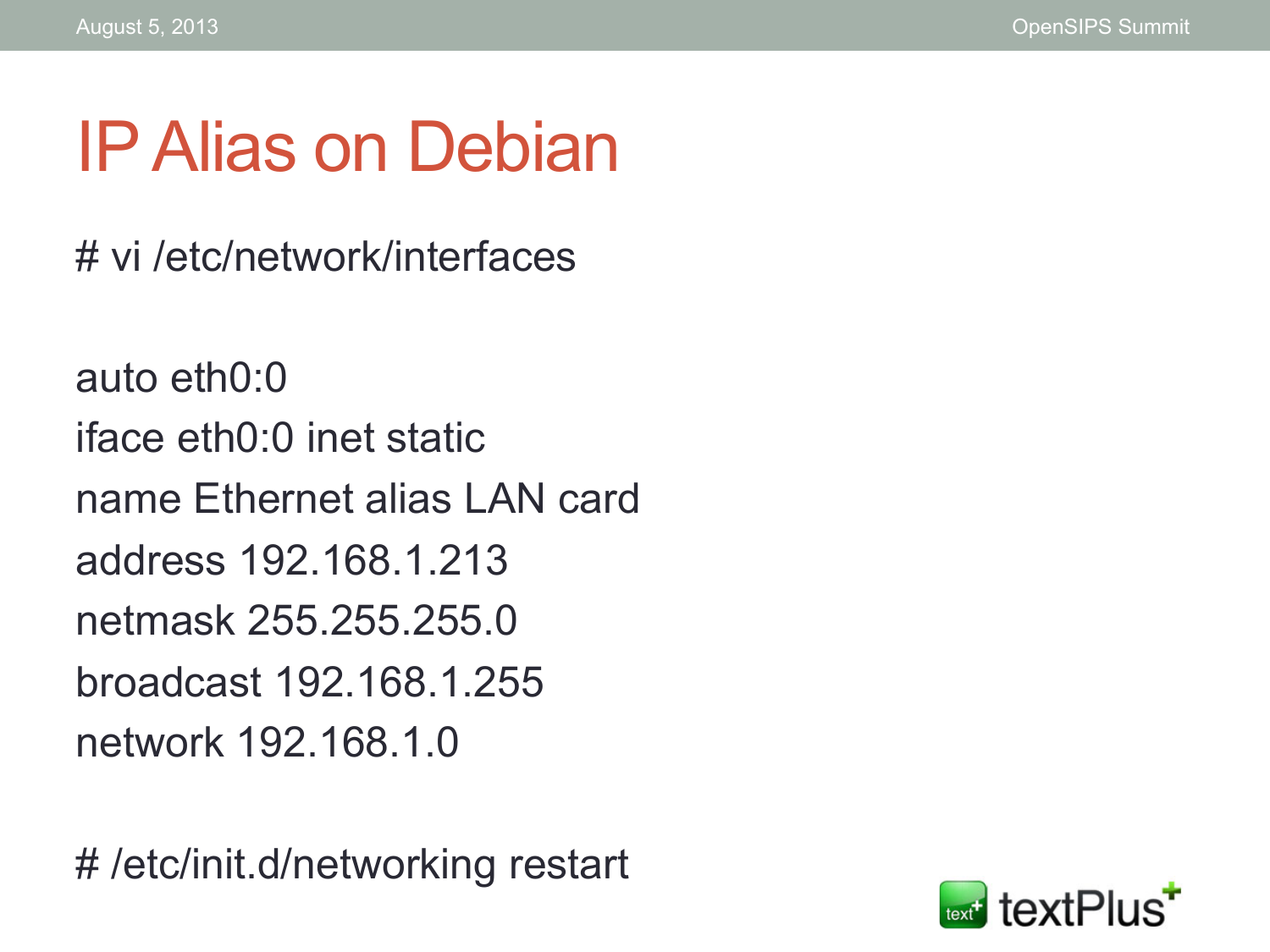# IP Alias on Debian

# vi /etc/network/interfaces

auto eth0:0 iface eth0:0 inet static name Ethernet alias LAN card address 192.168.1.213 netmask 255.255.255.0 broadcast 192.168.1.255 network 192.168.1.0

# /etc/init.d/networking restart

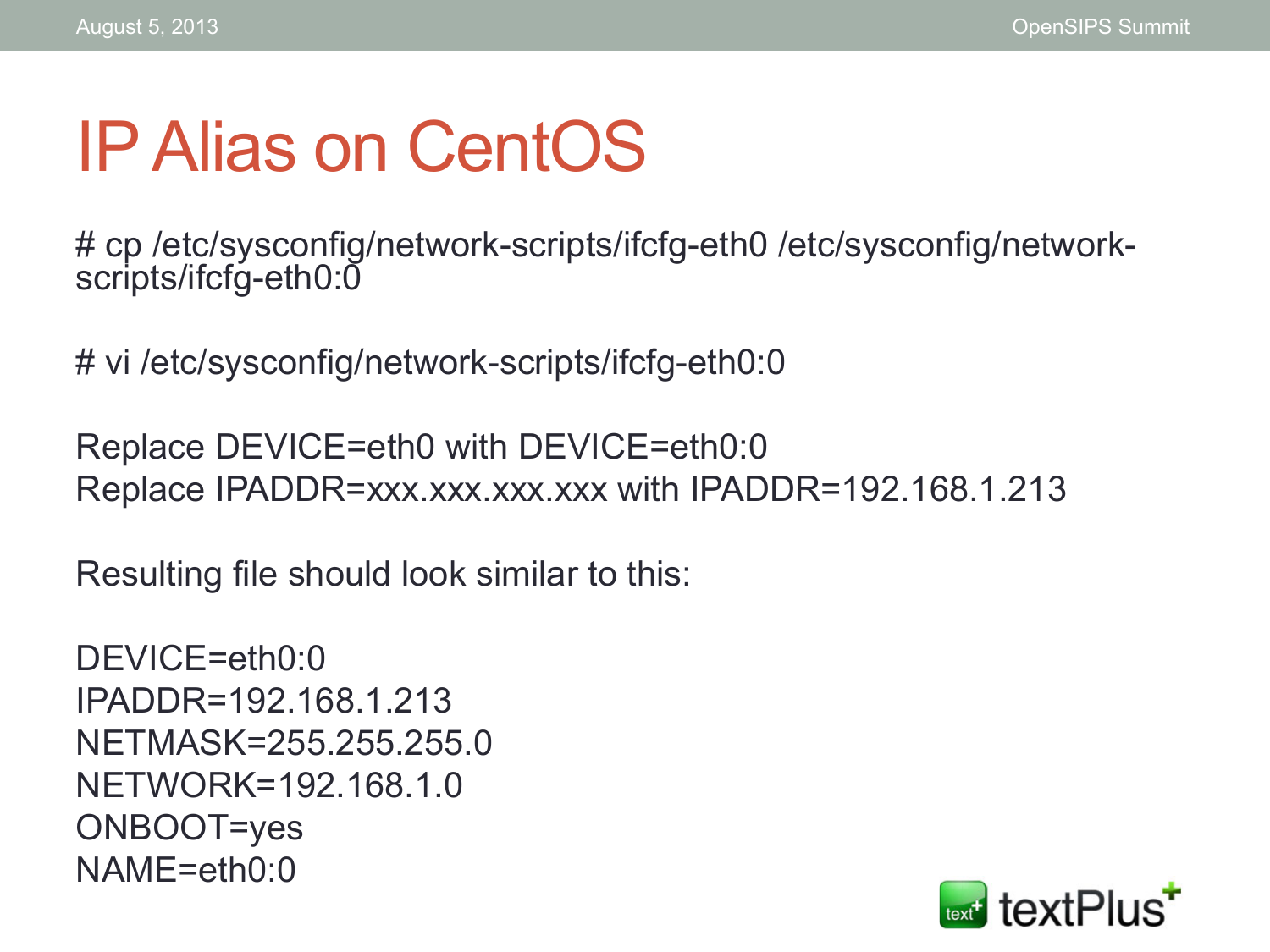# IP Alias on CentOS

# cp /etc/sysconfig/network-scripts/ifcfg-eth0 /etc/sysconfig/networkscripts/ifcfg-eth0:0

# vi /etc/sysconfig/network-scripts/ifcfg-eth0:0

Replace DEVICE=eth0 with DEVICE=eth0:0 Replace IPADDR=xxx.xxx.xxx.xxx with IPADDR=192.168.1.213

Resulting file should look similar to this:

```
DEVICE=eth0:0
IPADDR=192.168.1.213 
NETMASK=255.255.255.0 
NETWORK=192.168.1.0 
ONBOOT=yes 
NAME=eth0:0
```
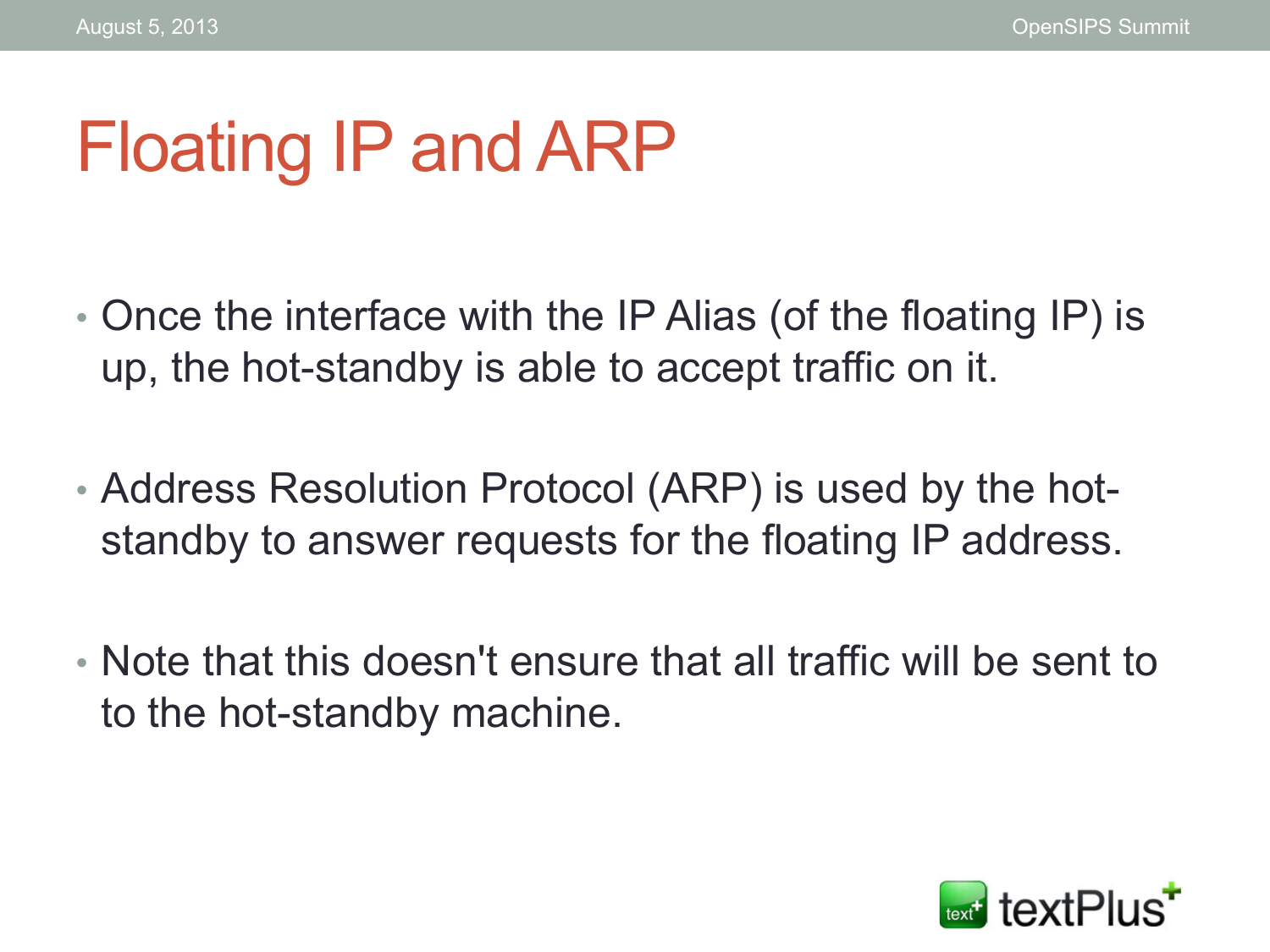# Floating IP and ARP

- Once the interface with the IP Alias (of the floating IP) is up, the hot-standby is able to accept traffic on it.
- Address Resolution Protocol (ARP) is used by the hotstandby to answer requests for the floating IP address.
- Note that this doesn't ensure that all traffic will be sent to to the hot-standby machine.

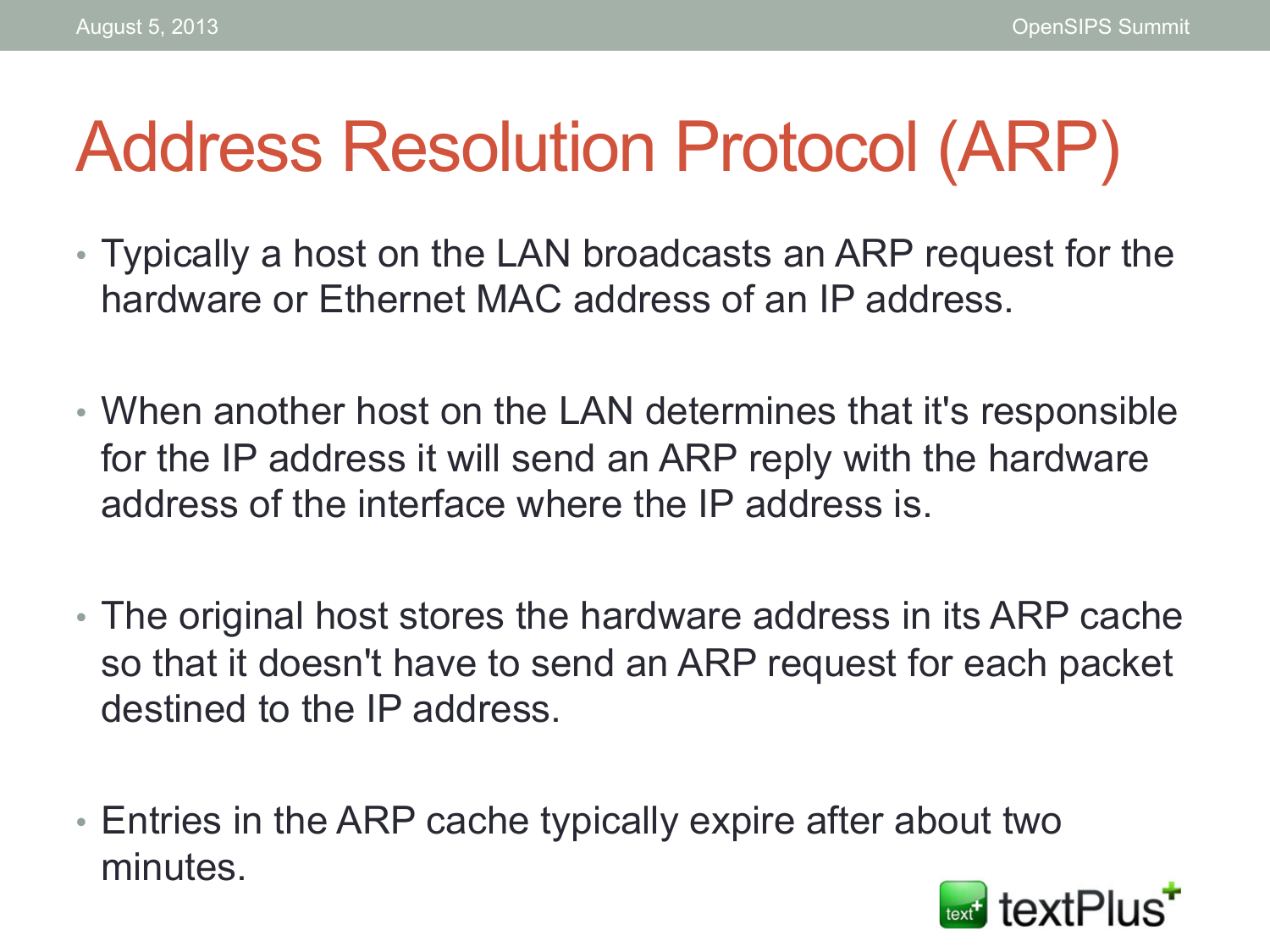# Address Resolution Protocol (ARP)

- Typically a host on the LAN broadcasts an ARP request for the hardware or Ethernet MAC address of an IP address.
- When another host on the LAN determines that it's responsible for the IP address it will send an ARP reply with the hardware address of the interface where the IP address is.
- The original host stores the hardware address in its ARP cache so that it doesn't have to send an ARP request for each packet destined to the IP address.
- Entries in the ARP cache typically expire after about two minutes.

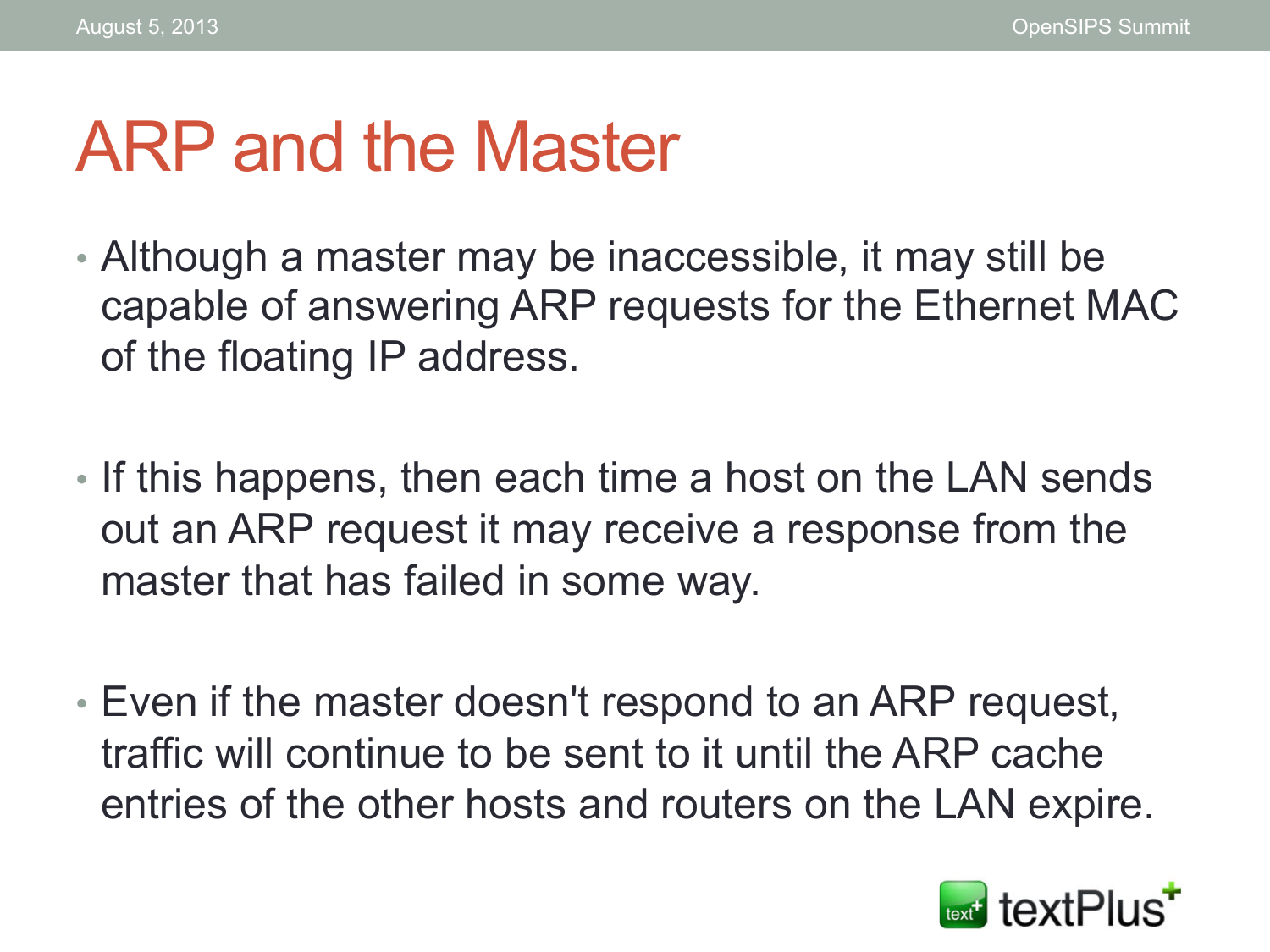#### ARP and the Master

- Although a master may be inaccessible, it may still be capable of answering ARP requests for the Ethernet MAC of the floating IP address.
- If this happens, then each time a host on the LAN sends out an ARP request it may receive a response from the master that has failed in some way.
- Even if the master doesn't respond to an ARP request, traffic will continue to be sent to it until the ARP cache entries of the other hosts and routers on the LAN expire.

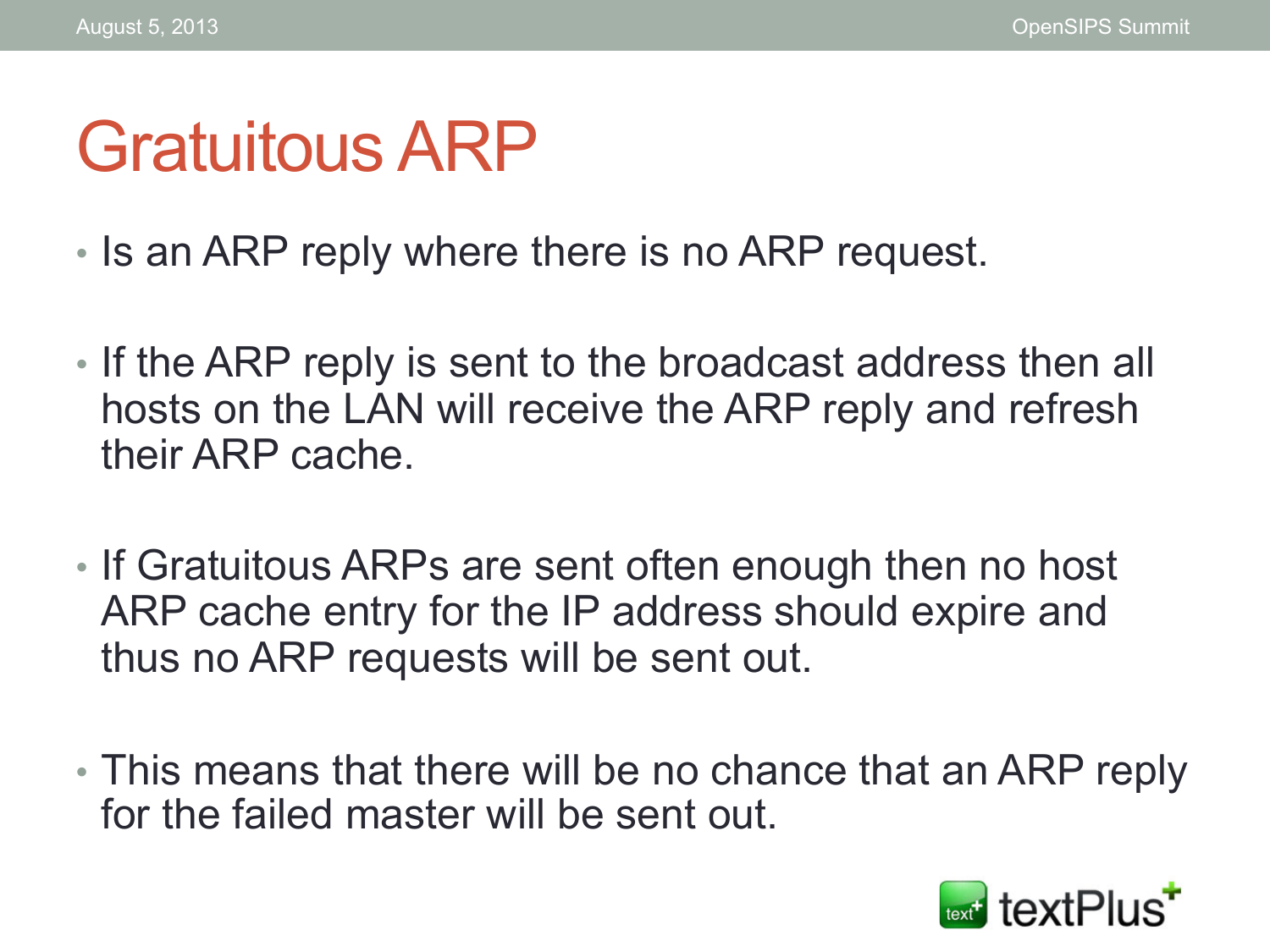#### Gratuitous ARP

- Is an ARP reply where there is no ARP request.
- If the ARP reply is sent to the broadcast address then all hosts on the LAN will receive the ARP reply and refresh their ARP cache.
- If Gratuitous ARPs are sent often enough then no host ARP cache entry for the IP address should expire and thus no ARP requests will be sent out.
- This means that there will be no chance that an ARP reply for the failed master will be sent out.

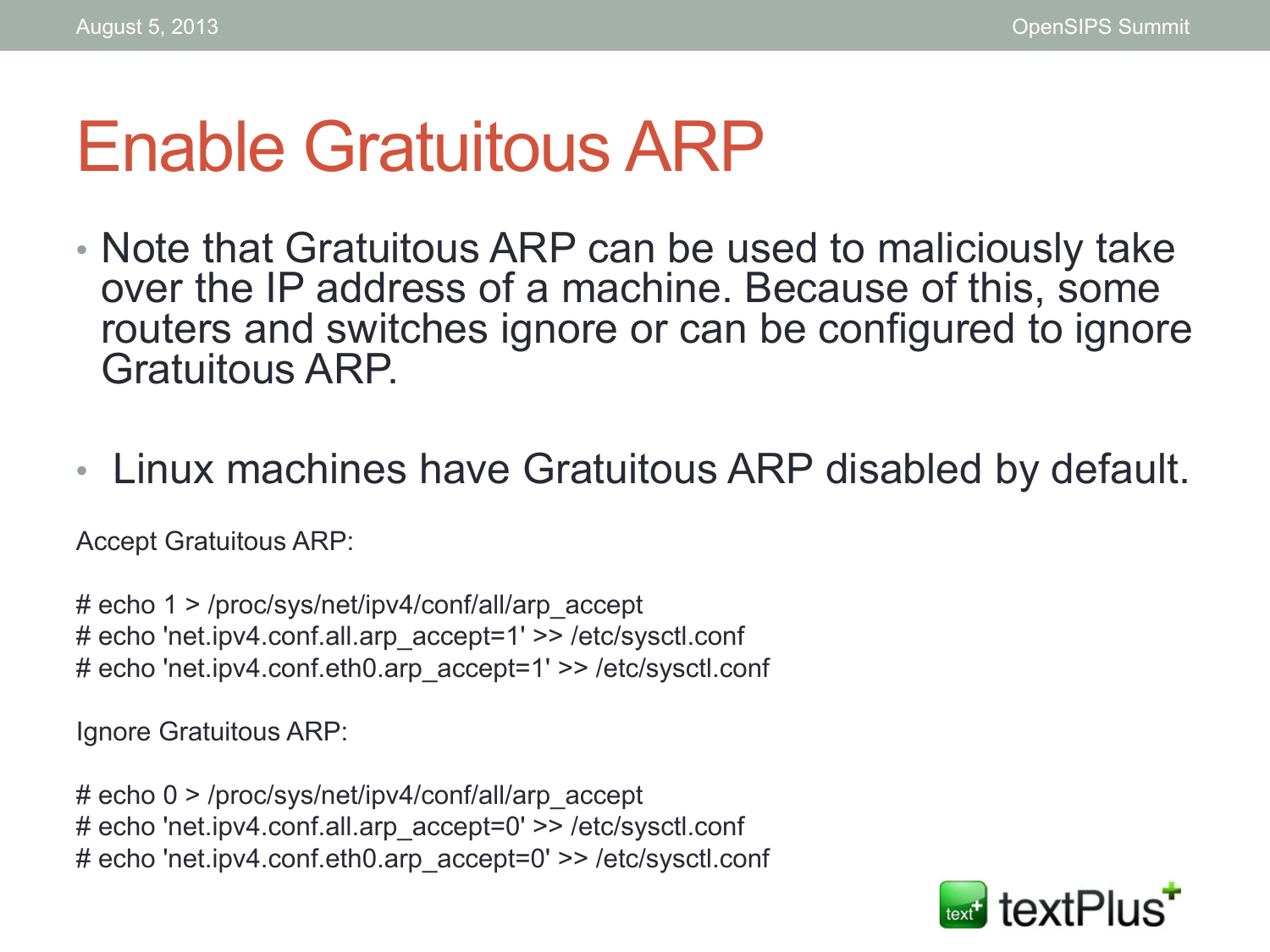#### Enable Gratuitous ARP

- Note that Gratuitous ARP can be used to maliciously take over the IP address of a machine. Because of this, some routers and switches ignore or can be configured to ignore Gratuitous ARP.
- Linux machines have Gratuitous ARP disabled by default.

Accept Gratuitous ARP:

# echo 1 > /proc/sys/net/ipv4/conf/all/arp\_accept # echo 'net.ipv4.conf.all.arp\_accept=1' >> /etc/sysctl.conf # echo 'net.ipv4.conf.eth0.arp\_accept=1' >> /etc/sysctl.conf

Ignore Gratuitous ARP:

# echo 0 > /proc/sys/net/ipv4/conf/all/arp\_accept # echo 'net.ipv4.conf.all.arp\_accept=0' >> /etc/sysctl.conf # echo 'net.ipv4.conf.eth0.arp\_accept=0' >> /etc/sysctl.conf

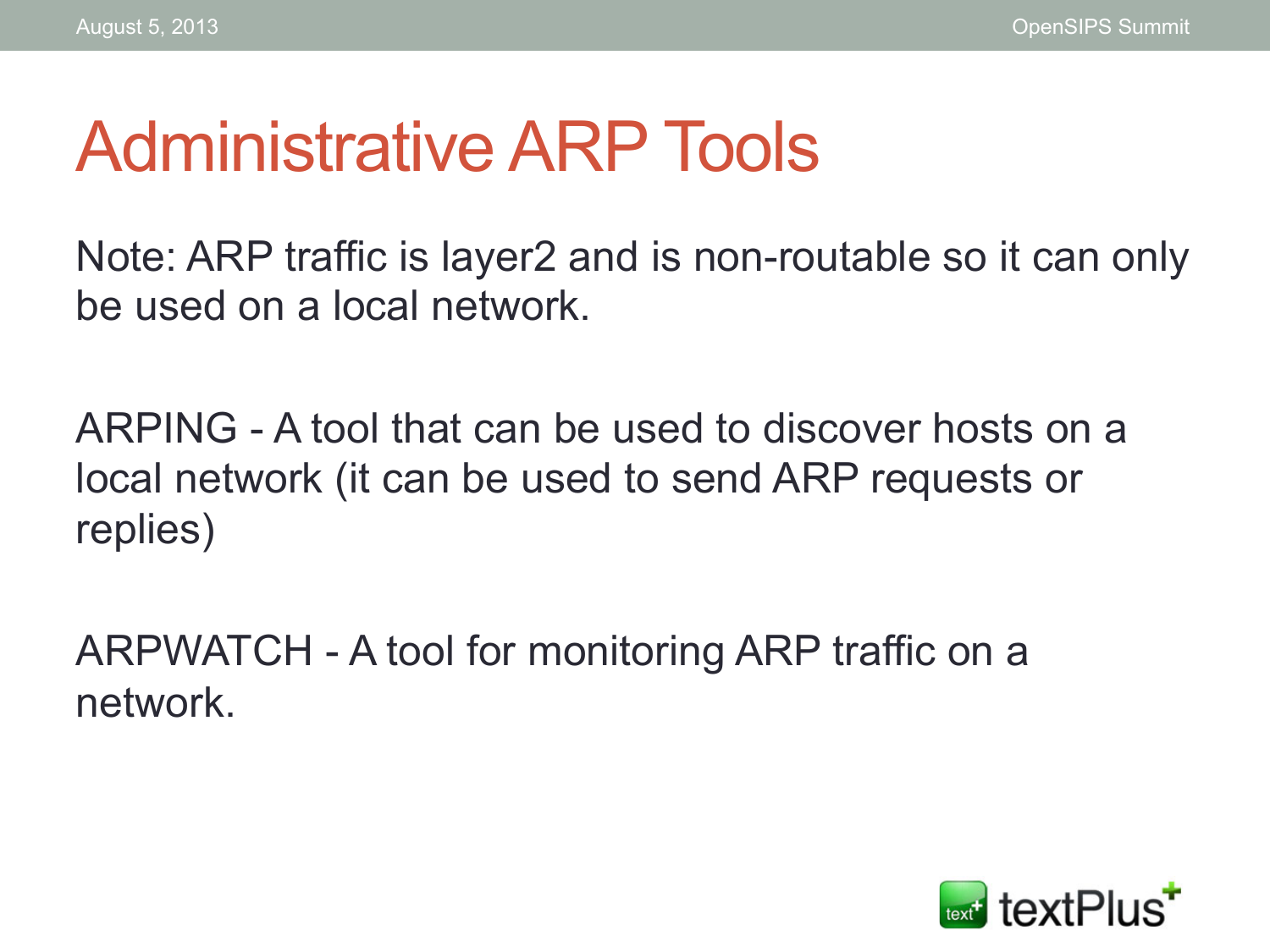#### Administrative ARP Tools

Note: ARP traffic is layer2 and is non-routable so it can only be used on a local network.

ARPING - A tool that can be used to discover hosts on a local network (it can be used to send ARP requests or replies)

ARPWATCH - A tool for monitoring ARP traffic on a network.

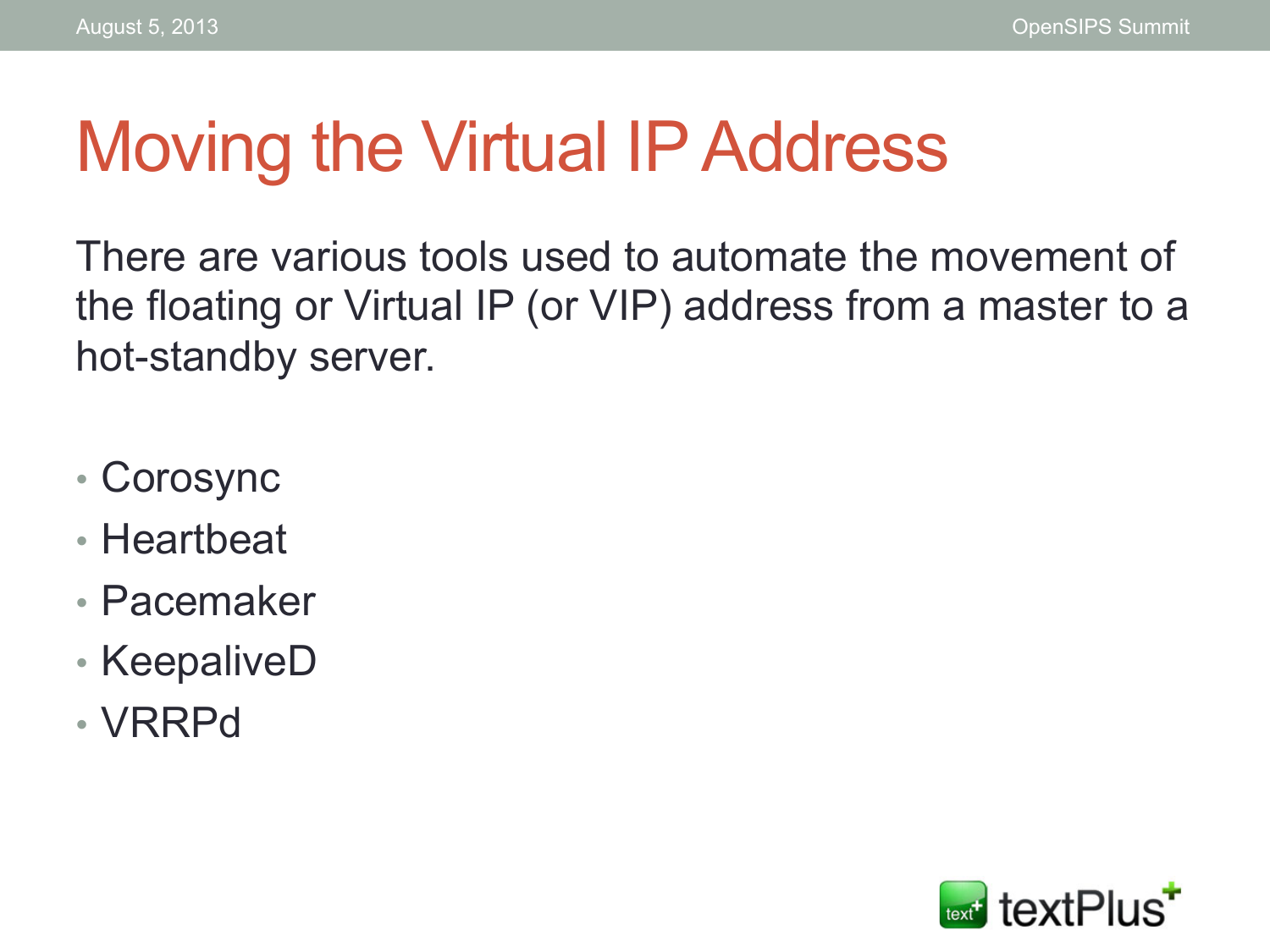#### Moving the Virtual IP Address

There are various tools used to automate the movement of the floating or Virtual IP (or VIP) address from a master to a hot-standby server.

- Corosync
- Heartbeat
- Pacemaker
- KeepaliveD
- VRRPd

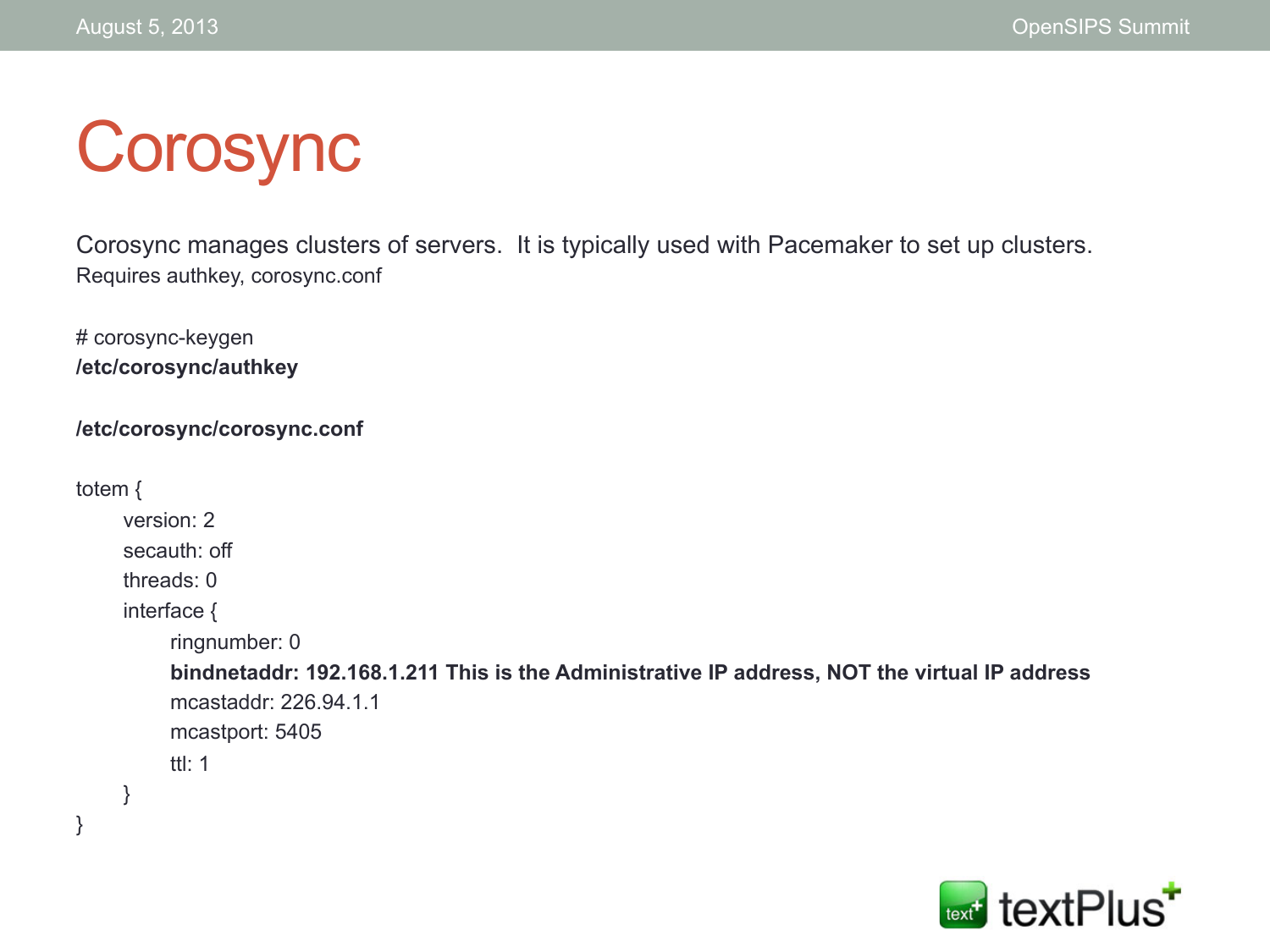## Corosync

Corosync manages clusters of servers. It is typically used with Pacemaker to set up clusters. Requires authkey, corosync.conf

# corosync-keygen **/etc/corosync/authkey**

```
/etc/corosync/corosync.conf
```

```
totem { 
      version: 2 
      secauth: off 
      threads: 0 
      interface { 
           ringnumber: 0 
           bindnetaddr: 192.168.1.211 This is the Administrative IP address, NOT the virtual IP address 
           mcastaddr: 226.94.1.1 
           mcastport: 5405 
           ttl: 1 
      } 
}
```
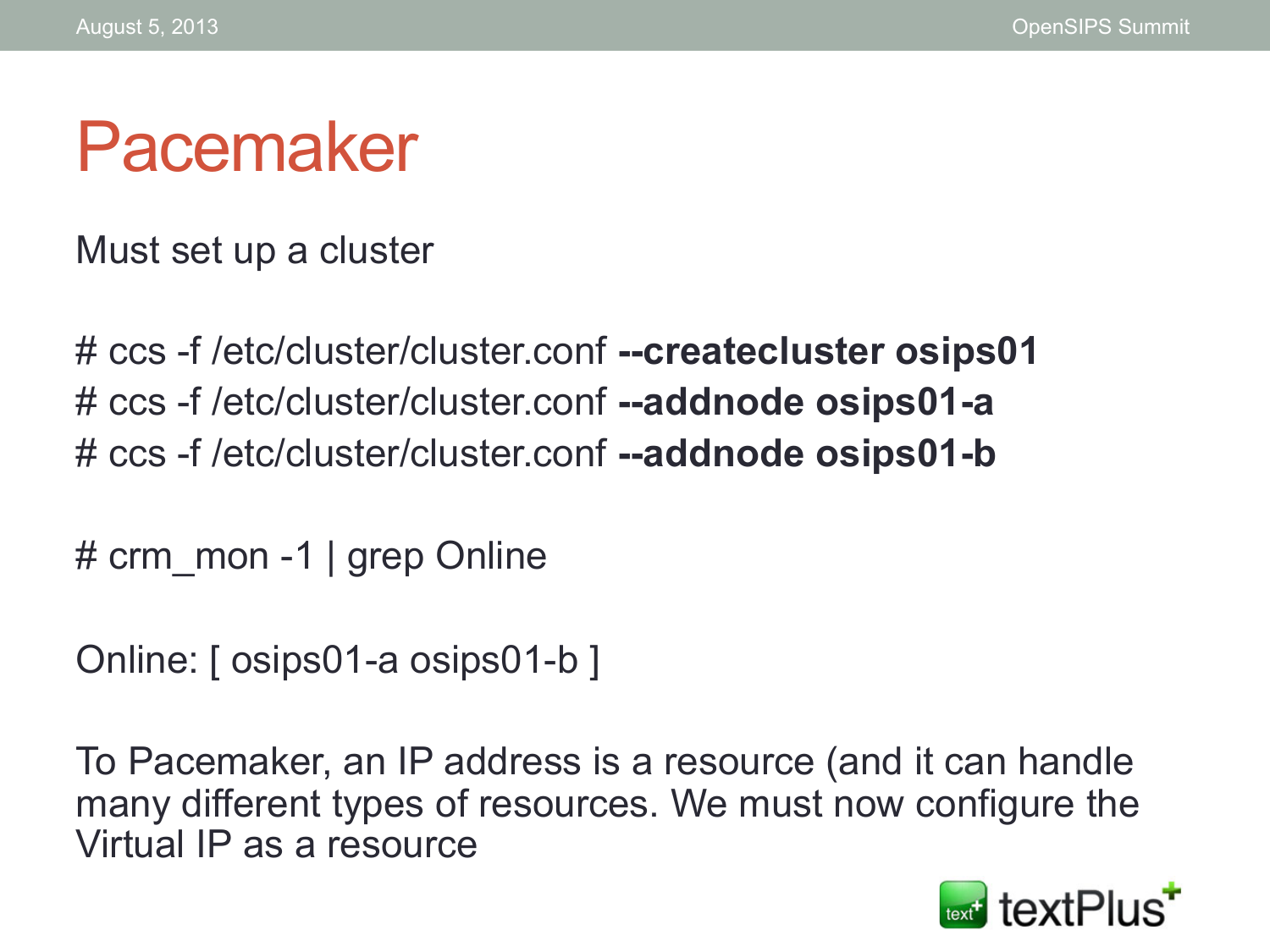#### Pacemaker

Must set up a cluster

# ccs -f /etc/cluster/cluster.conf **--createcluster osips01**  # ccs -f /etc/cluster/cluster.conf **--addnode osips01-a**  # ccs -f /etc/cluster/cluster.conf **--addnode osips01-b** 

# crm\_mon -1 | grep Online

Online: [ osips01-a osips01-b ]

To Pacemaker, an IP address is a resource (and it can handle many different types of resources. We must now configure the Virtual IP as a resource

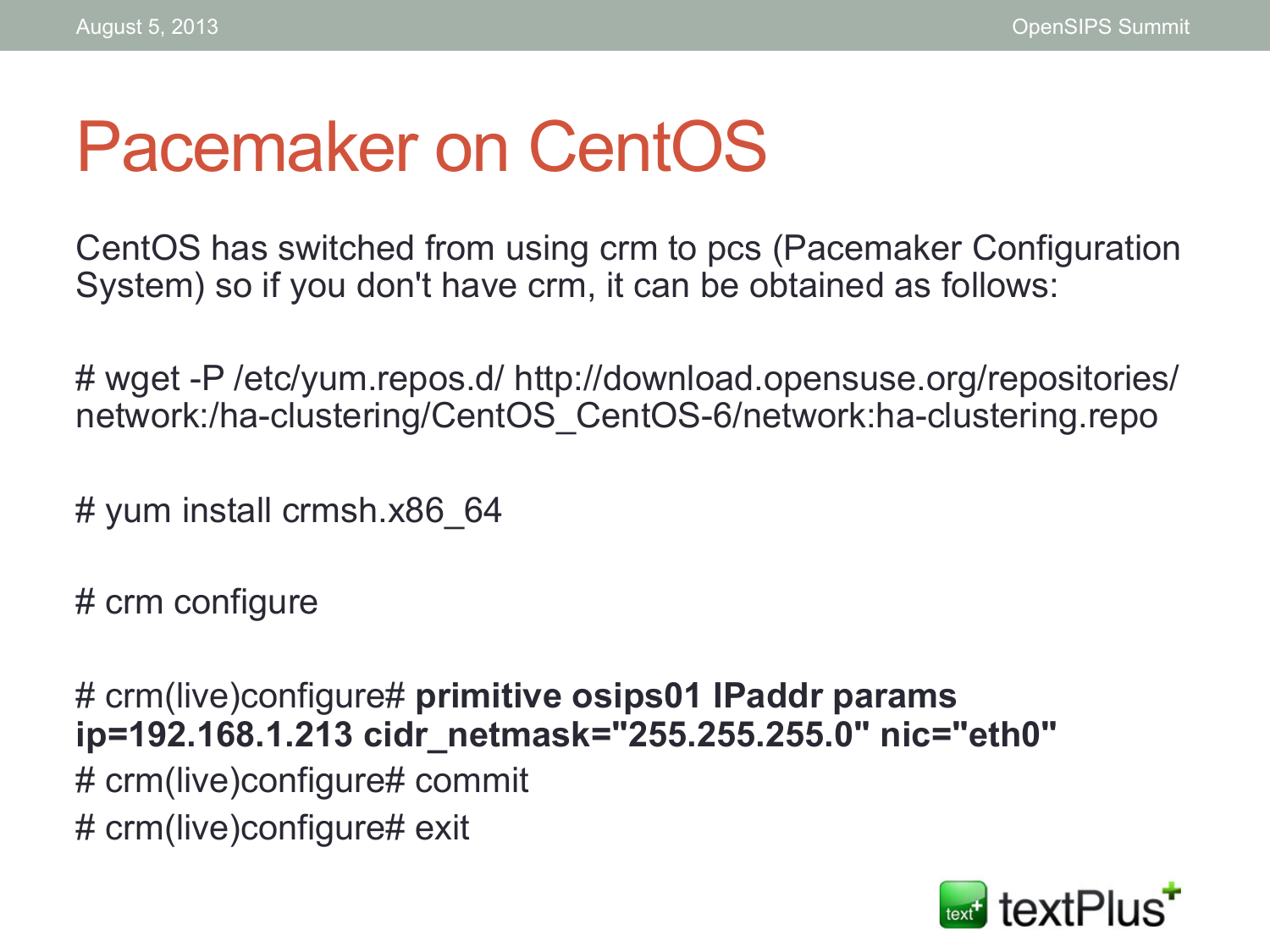#### Pacemaker on CentOS

CentOS has switched from using crm to pcs (Pacemaker Configuration System) so if you don't have crm, it can be obtained as follows:

# wget -P /etc/yum.repos.d/ http://download.opensuse.org/repositories/ network:/ha-clustering/CentOS\_CentOS-6/network:ha-clustering.repo

# yum install crmsh.x86\_64

# crm configure

# crm(live)configure# **primitive osips01 IPaddr params ip=192.168.1.213 cidr\_netmask="255.255.255.0" nic="eth0"**  # crm(live)configure# commit # crm(live)configure# exit

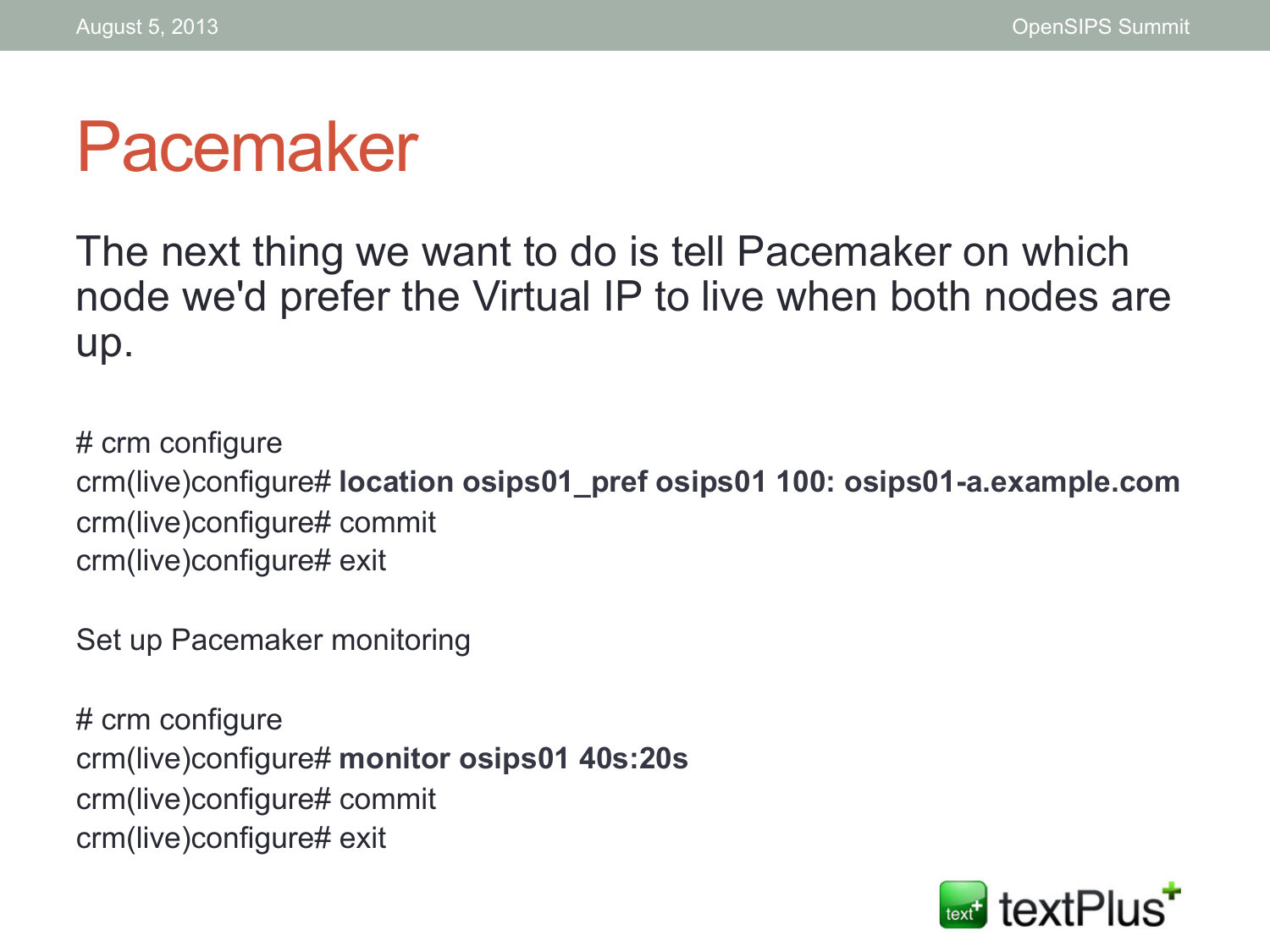#### Pacemaker

The next thing we want to do is tell Pacemaker on which node we'd prefer the Virtual IP to live when both nodes are up.

# crm configure crm(live)configure# **location osips01\_pref osips01 100: osips01-a.example.com**  crm(live)configure# commit crm(live)configure# exit

Set up Pacemaker monitoring

# crm configure crm(live)configure# **monitor osips01 40s:20s**  crm(live)configure# commit crm(live)configure# exit

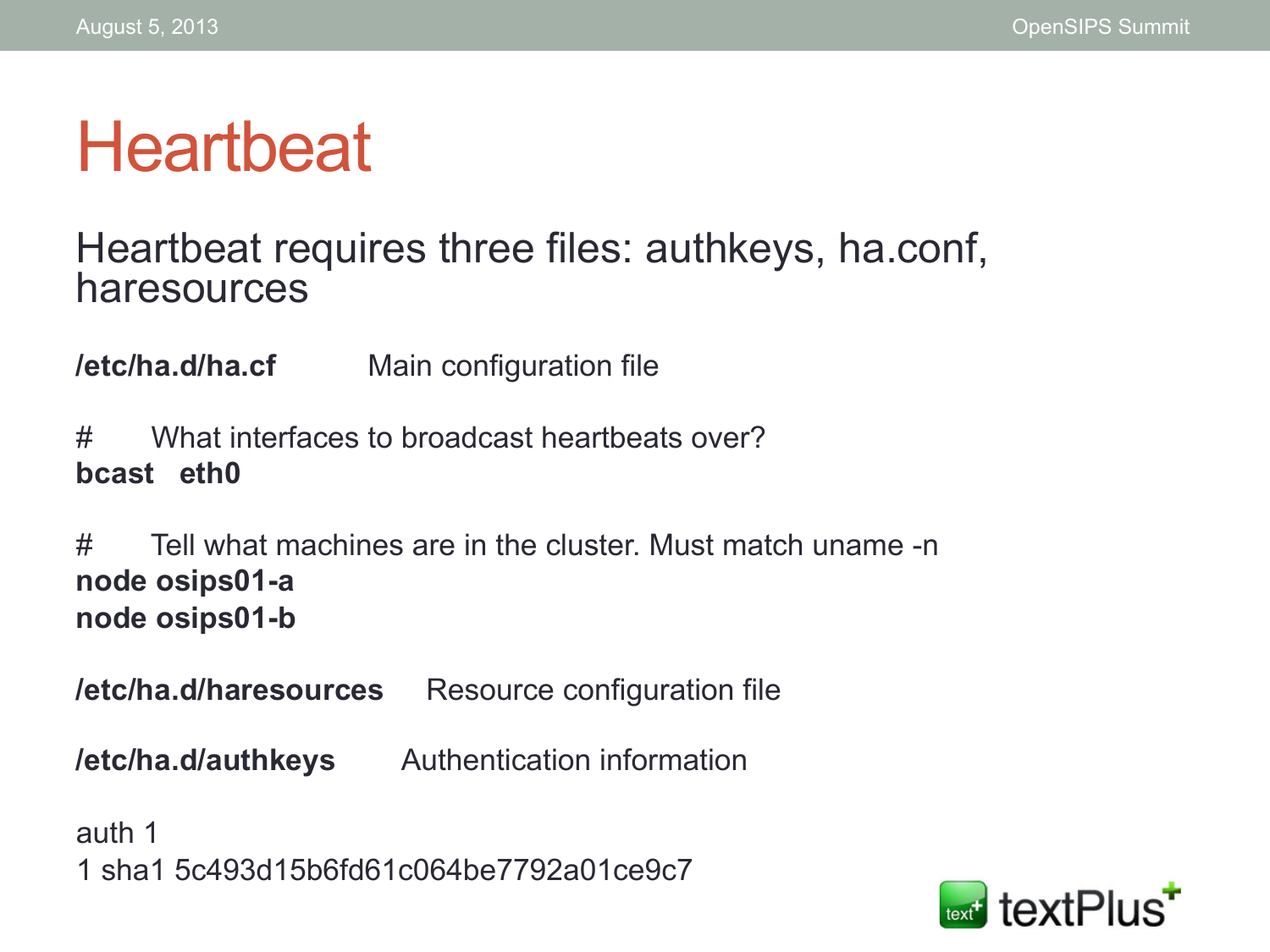## **Heartbeat**

#### Heartbeat requires three files: authkeys, ha.conf, haresources

**/etc/ha.d/ha.cf** Main configuration file

# What interfaces to broadcast heartbeats over? **bcast eth0** 

# Tell what machines are in the cluster. Must match uname -n **node osips01-a node osips01-b** 

**/etc/ha.d/haresources** Resource configuration file

**/etc/ha.d/authkeys** Authentication information

auth 1 1 sha1 5c493d15b6fd61c064be7792a01ce9c7

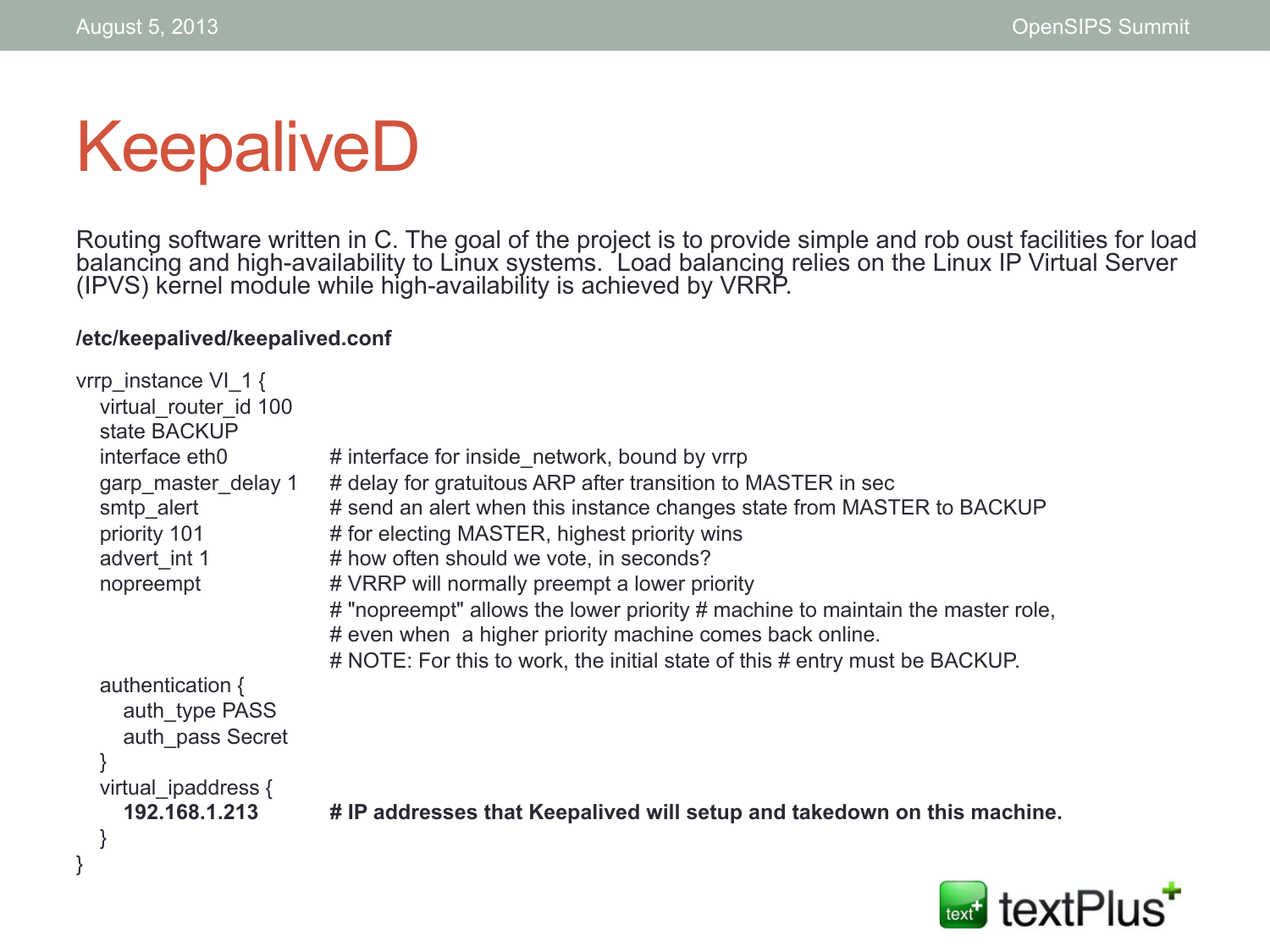# KeepaliveD

Routing software written in C. The goal of the project is to provide simple and rob oust facilities for load balancing and high-availability to Linux systems. Load balancing relies on the Linux IP Virtual Server (IPVS) kernel module while high-availability is achieved by VRRP.

#### **/etc/keepalived/keepalived.conf**

| vrrp instance VI 1 {<br>virtual router id 100 |                                                                                                                                 |
|-----------------------------------------------|---------------------------------------------------------------------------------------------------------------------------------|
| state BACKUP<br>interface eth0                | # interface for inside network, bound by vrrp                                                                                   |
| garp master delay 1                           | # delay for gratuitous ARP after transition to MASTER in sec                                                                    |
| smtp alert                                    | # send an alert when this instance changes state from MASTER to BACKUP                                                          |
| priority 101                                  | # for electing MASTER, highest priority wins                                                                                    |
| advert int 1                                  | # how often should we vote, in seconds?                                                                                         |
| nopreempt                                     | # VRRP will normally preempt a lower priority<br># "nopreempt" allows the lower priority # machine to maintain the master role, |
|                                               | # even when a higher priority machine comes back online.                                                                        |
|                                               | # NOTE: For this to work, the initial state of this # entry must be BACKUP.                                                     |
| authentication $\{$                           |                                                                                                                                 |
| auth type PASS                                |                                                                                                                                 |
| auth pass Secret                              |                                                                                                                                 |
| virtual ipaddress {                           |                                                                                                                                 |
| 192.168.1.213                                 | # IP addresses that Keepalived will setup and takedown on this machine.                                                         |
|                                               |                                                                                                                                 |
|                                               |                                                                                                                                 |

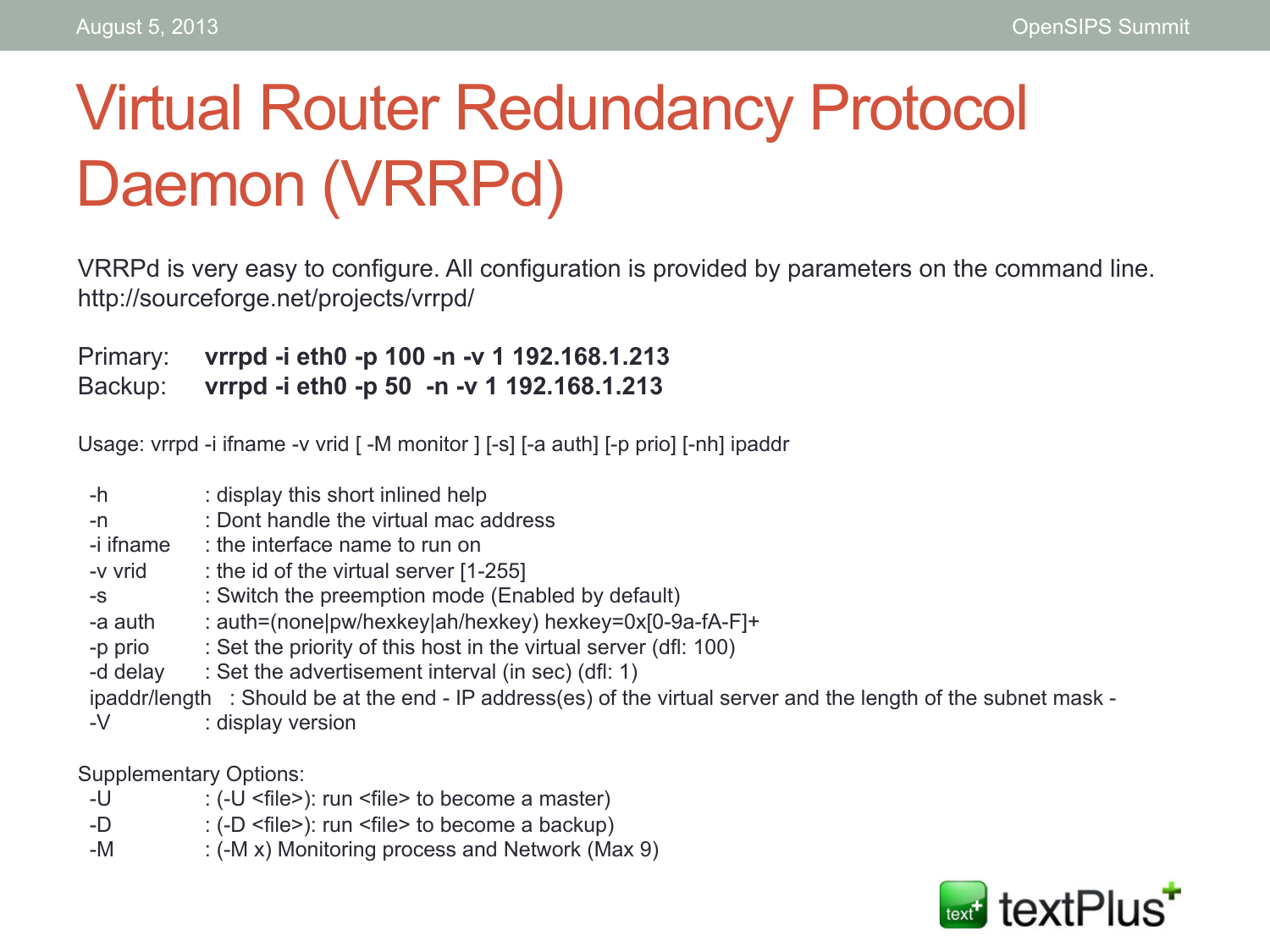#### Virtual Router Redundancy Protocol Daemon (VRRPd)

VRRPd is very easy to configure. All configuration is provided by parameters on the command line. http://sourceforge.net/projects/vrrpd/

Primary: **vrrpd -i eth0 -p 100 -n -v 1 192.168.1.213** 

Backup: **vrrpd -i eth0 -p 50 -n -v 1 192.168.1.213** 

Usage: vrrpd -i ifname -v vrid [ -M monitor ] [-s] [-a auth] [-p prio] [-nh] ipaddr

 -h : display this short inlined help -n : Dont handle the virtual mac address  $-i$  ifname  $\cdot$  the interface name to run on  $-v$  vrid : the id of the virtual server  $[1-255]$  -s : Switch the preemption mode (Enabled by default) -a auth : auth=(none)pw/hexkey)ah/hexkey) hexkey=0x[0-9a-fA-F]+ -p prio : Set the priority of this host in the virtual server (dfl: 100) -d delay : Set the advertisement interval (in sec) (dfl: 1) ipaddr/length : Should be at the end - IP address(es) of the virtual server and the length of the subnet mask - -V : display version

Supplementary Options:

- -U : (-U <file>): run <file> to become a master)
- -D : (-D <file>): run <file> to become a backup)
- -M : (-M x) Monitoring process and Network (Max 9)

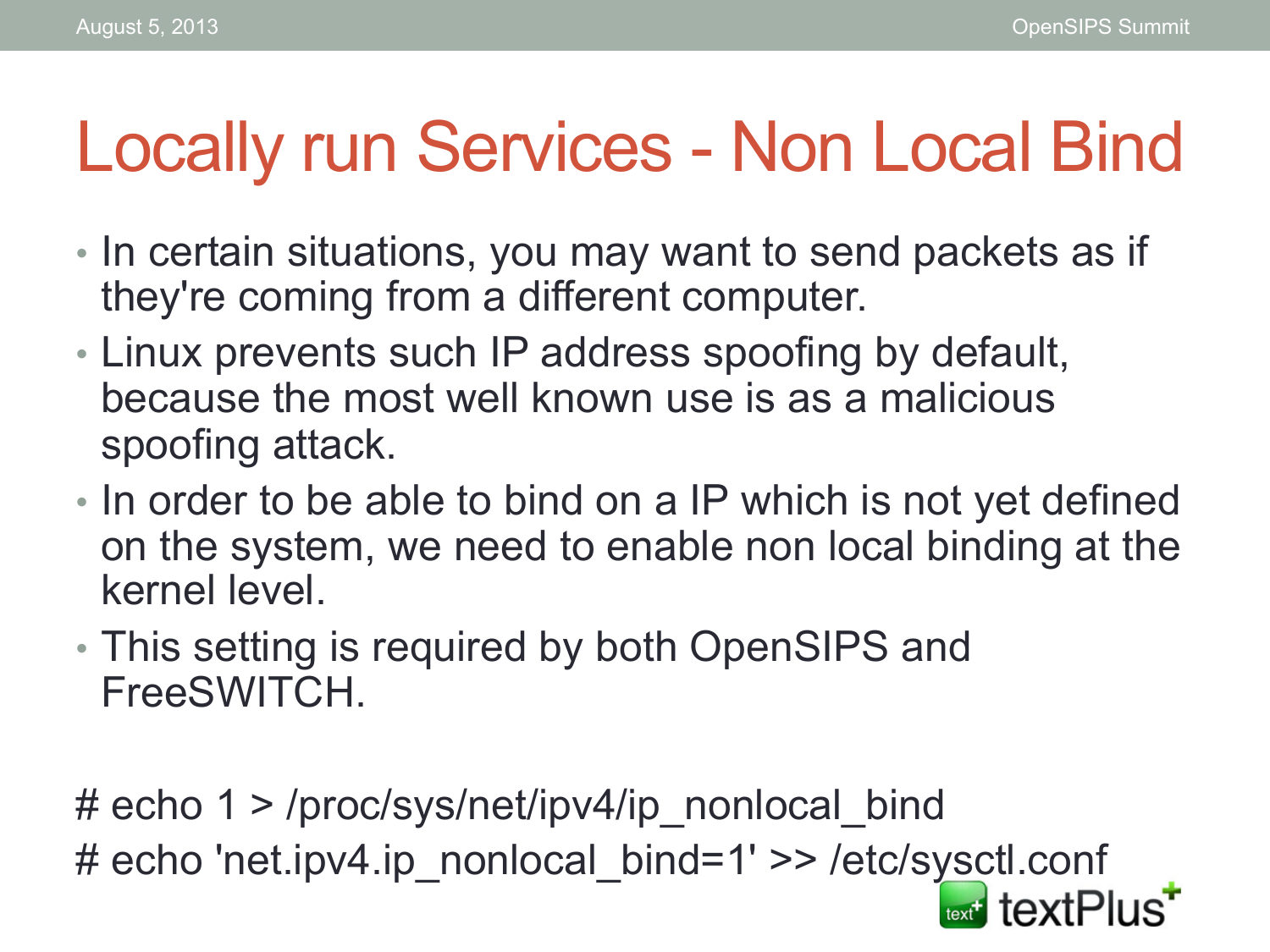# Locally run Services - Non Local Bind

- In certain situations, you may want to send packets as if they're coming from a different computer.
- Linux prevents such IP address spoofing by default, because the most well known use is as a malicious spoofing attack.
- In order to be able to bind on a IP which is not yet defined on the system, we need to enable non local binding at the kernel level.
- This setting is required by both OpenSIPS and FreeSWITCH.

# echo 1 > /proc/sys/net/ipv4/ip\_nonlocal\_bind # echo 'net.ipv4.ip\_nonlocal\_bind=1' >> /etc/sysctl.conf text textPlus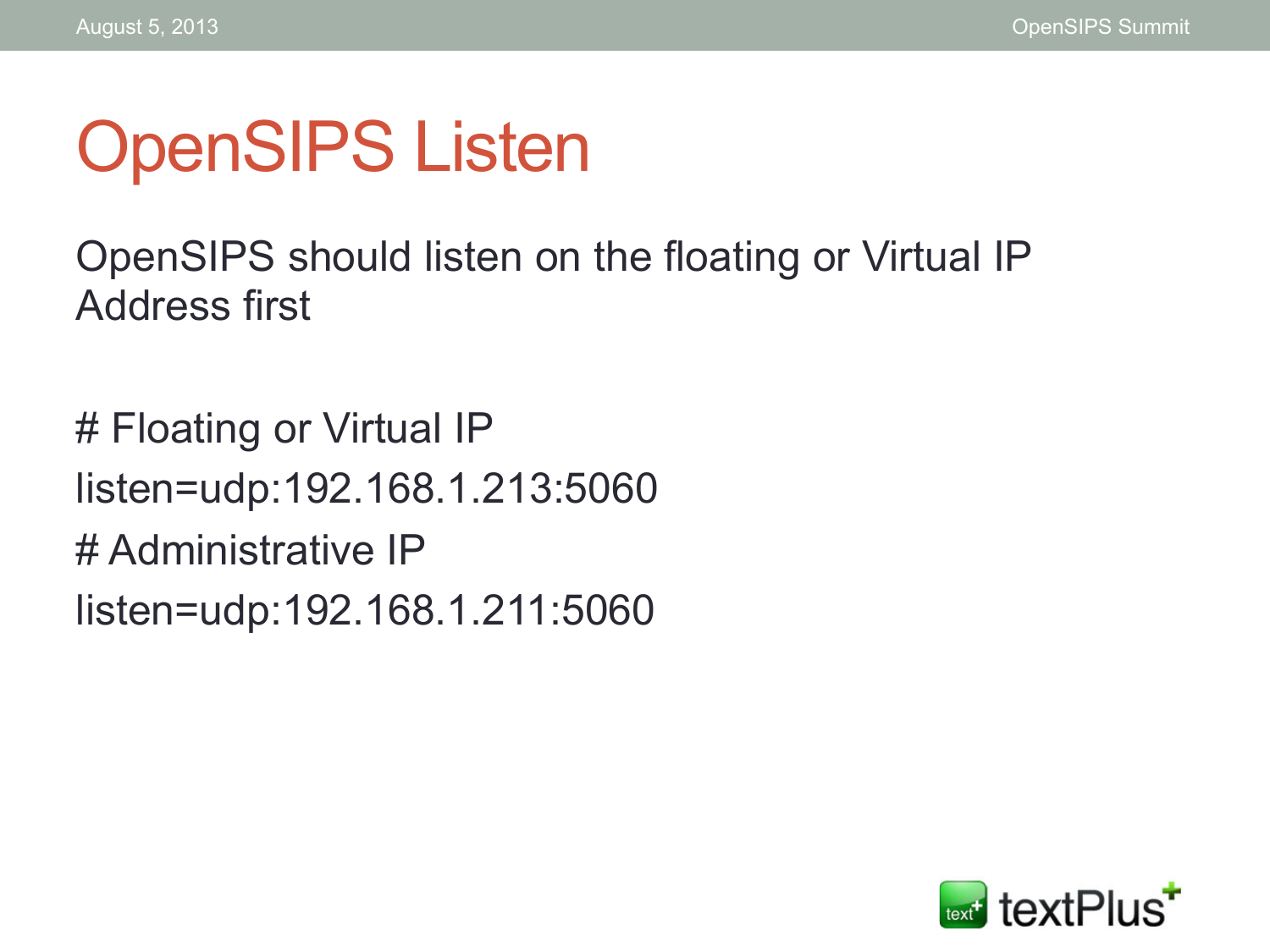# OpenSIPS Listen

OpenSIPS should listen on the floating or Virtual IP Address first

# Floating or Virtual IP listen=udp:192.168.1.213:5060 # Administrative IP listen=udp:192.168.1.211:5060

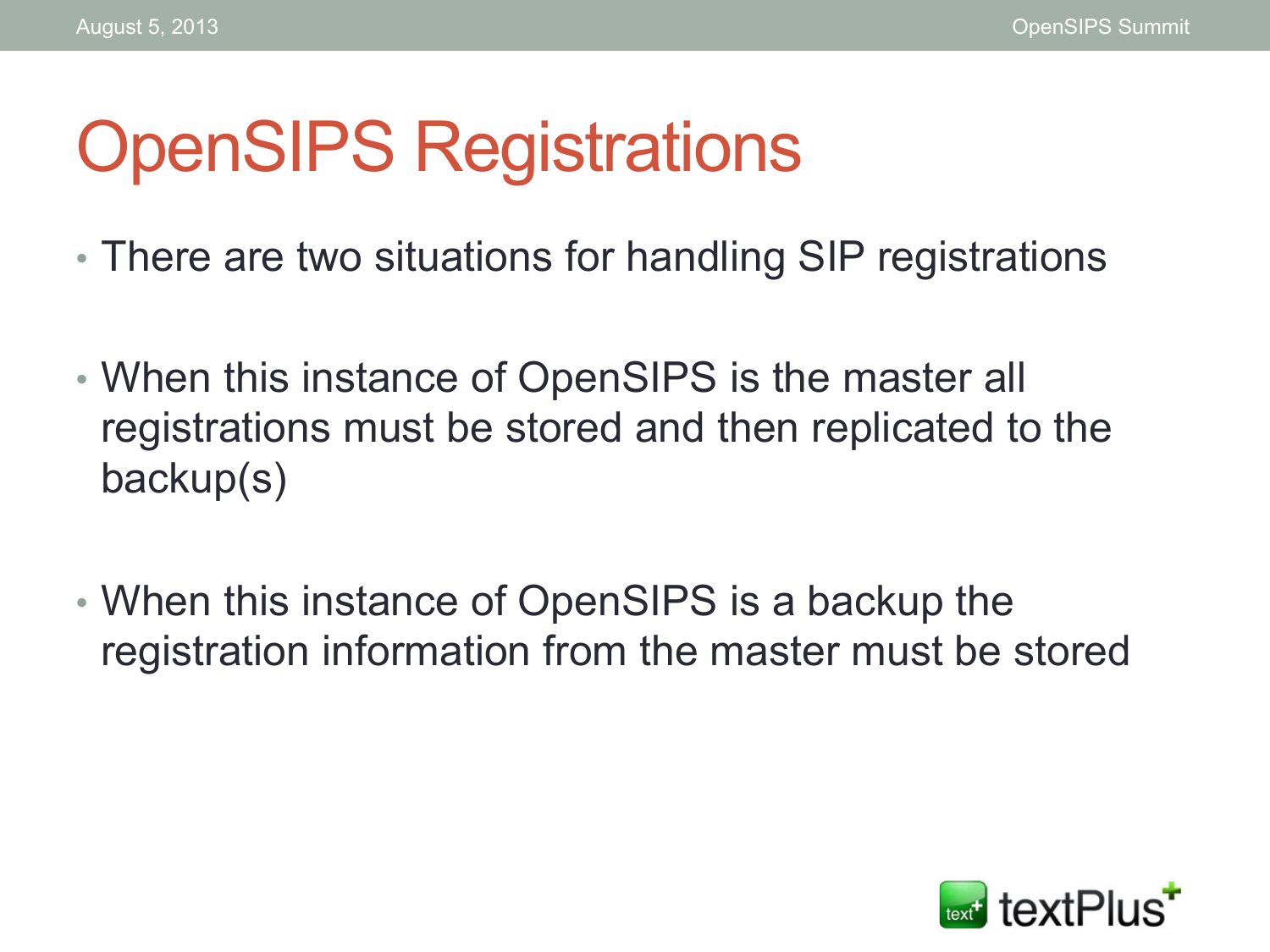# OpenSIPS Registrations

- There are two situations for handling SIP registrations
- When this instance of OpenSIPS is the master all registrations must be stored and then replicated to the backup(s)
- When this instance of OpenSIPS is a backup the registration information from the master must be stored

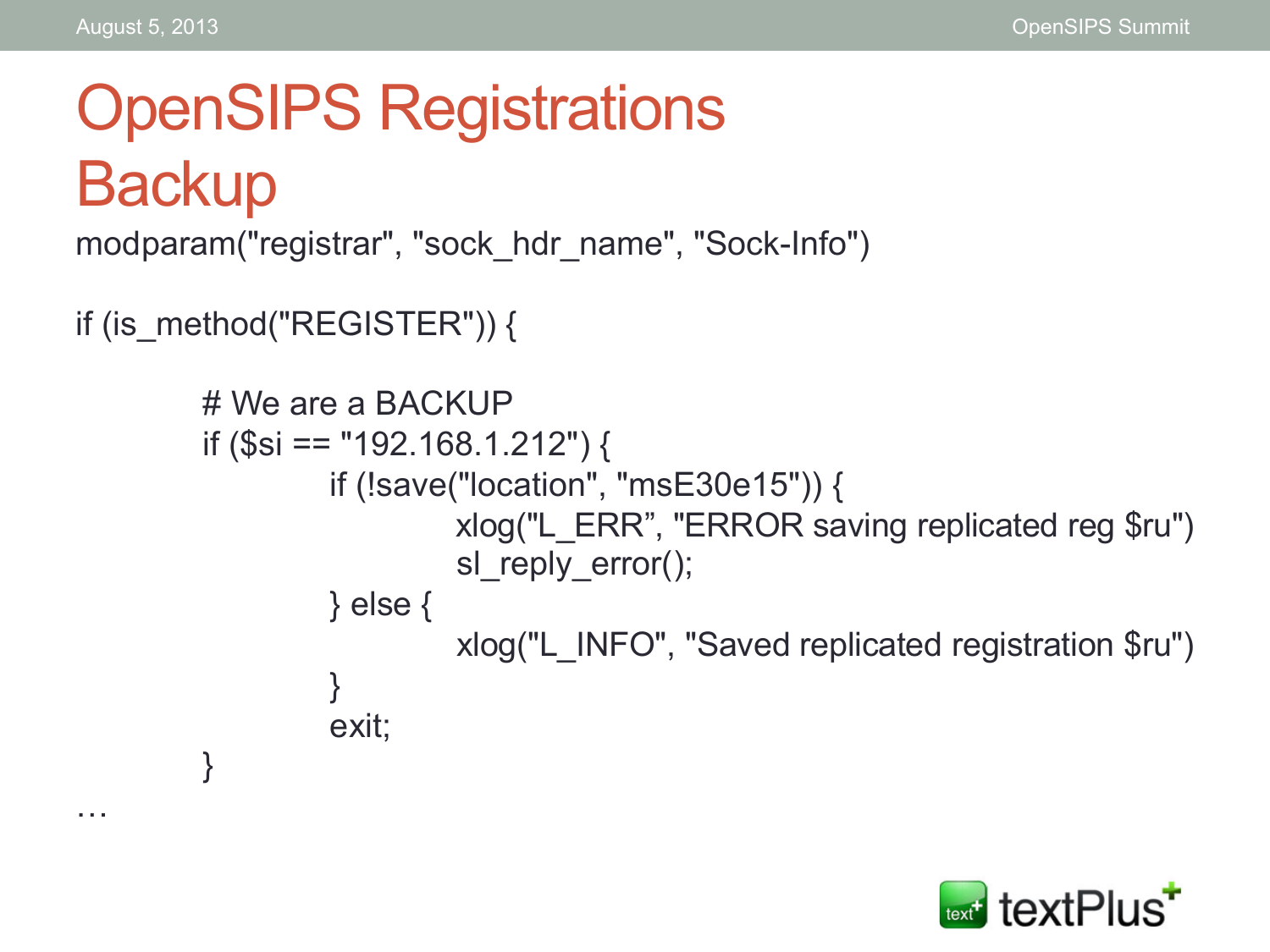…

# OpenSIPS Registrations **Backup**

modparam("registrar", "sock\_hdr\_name", "Sock-Info")

```
if (is_method("REGISTER")) {
```

```
# We are a BACKUP 
if ($si == "192.168.1.212") { 
          if (!save("location", "msE30e15")) { 
                   xlog("L_ERR", "ERROR saving replicated reg $ru") 
                  sl reply error();
          } else { 
                   xlog("L_INFO", "Saved replicated registration $ru") 
 } 
          exit; 
}
```
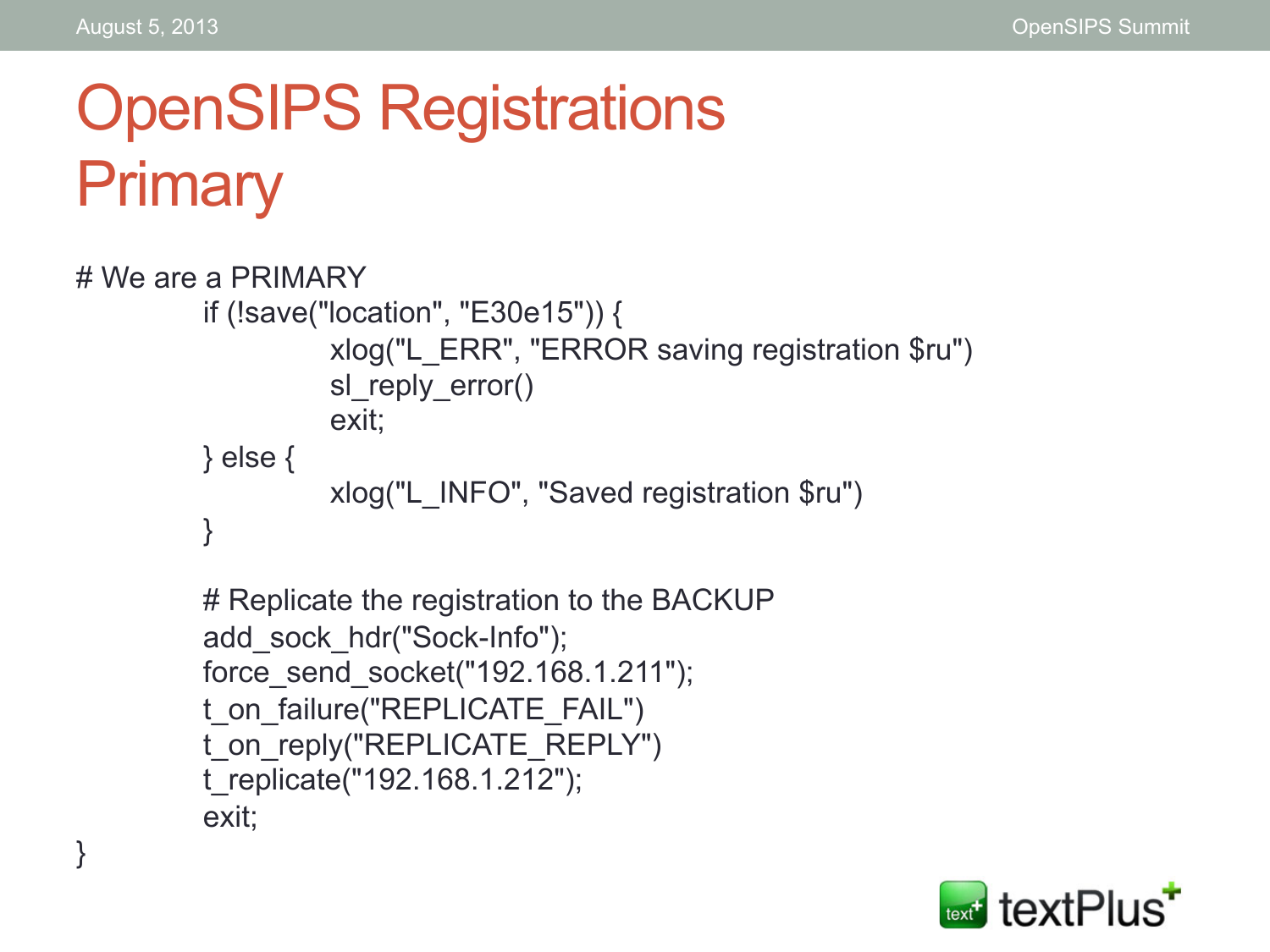}

#### OpenSIPS Registrations **Primary**

```
# We are a PRIMARY 
          if (!save("location", "E30e15")) { 
                     xlog("L_ERR", "ERROR saving registration $ru") 
                    sl reply error()
                     exit; 
          } else { 
                     xlog("L_INFO", "Saved registration $ru") 
          }
```

```
# Replicate the registration to the BACKUP 
add_sock_hdr("Sock-Info"); 
force_send_socket("192.168.1.211"); 
t_on_failure("REPLICATE_FAIL")
t_on_reply("REPLICATE_REPLY") 
t_replicate("192.168.1.212"); 
exit;
```
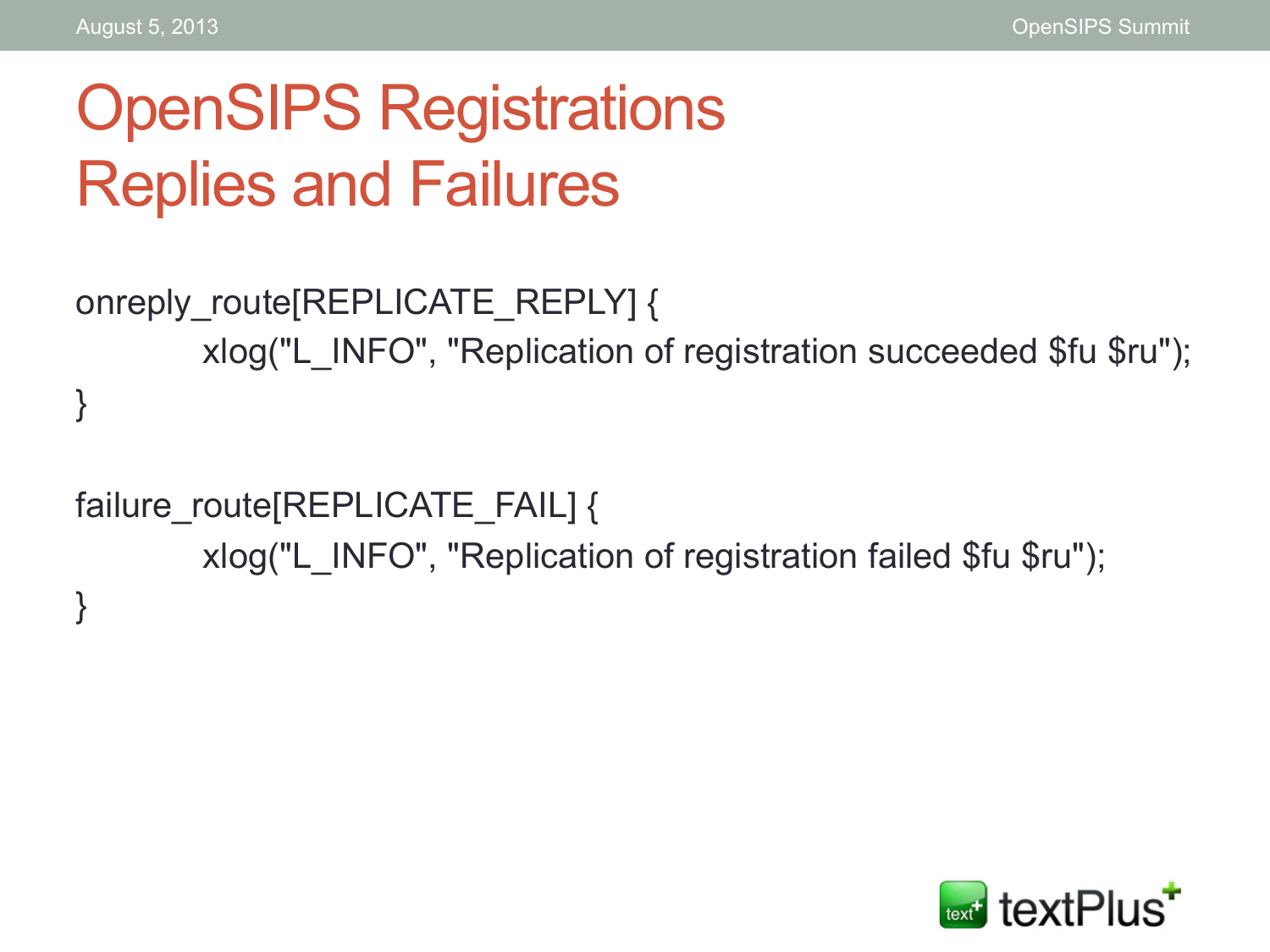#### OpenSIPS Registrations Replies and Failures

```
onreply_route[REPLICATE_REPLY] { 
        xlog("L_INFO", "Replication of registration succeeded $fu $ru"); 
}
```

```
failure_route[REPLICATE_FAIL] { 
        xlog("L_INFO", "Replication of registration failed $fu $ru"); 
}
```
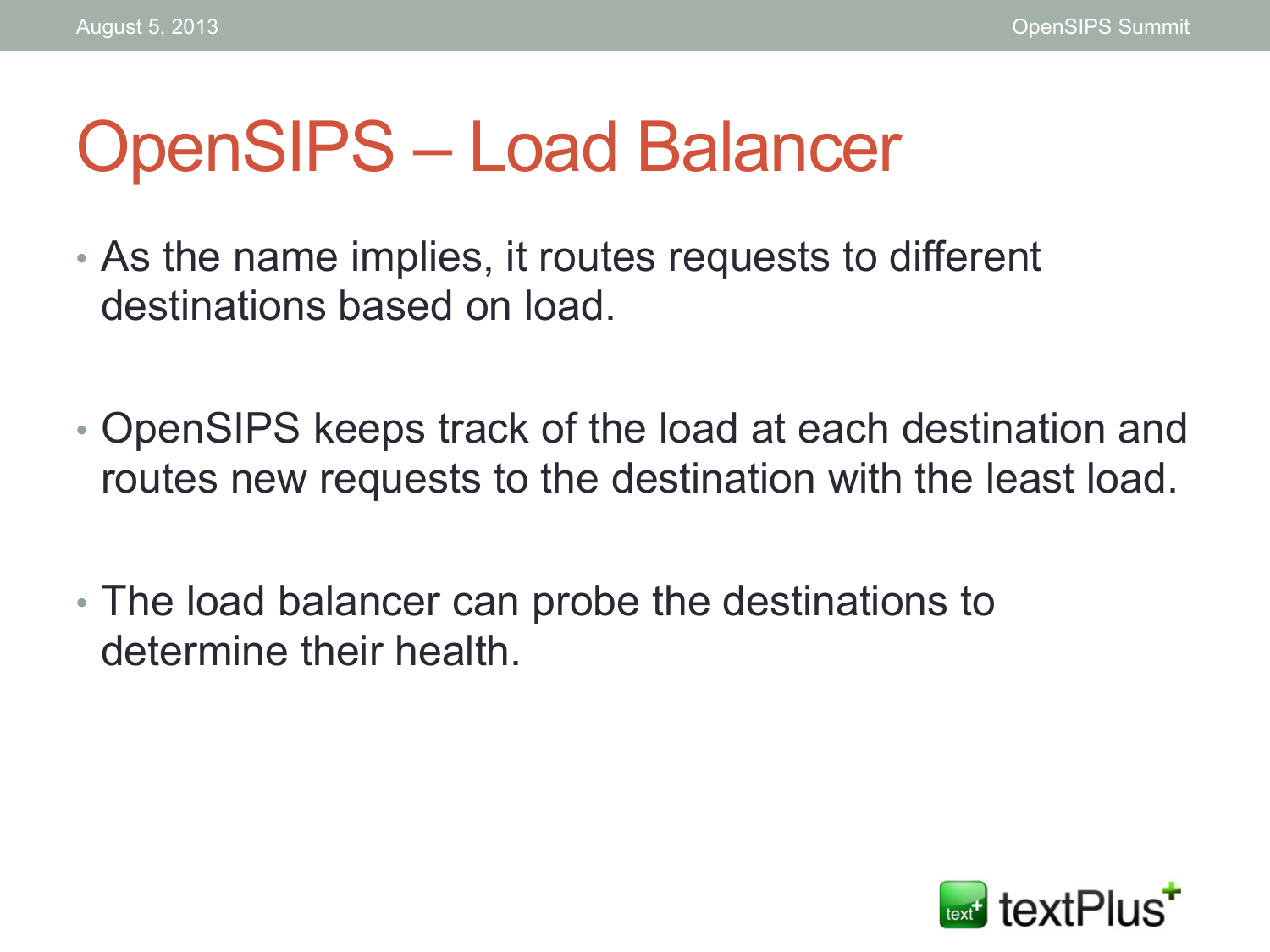#### OpenSIPS – Load Balancer

- As the name implies, it routes requests to different destinations based on load.
- OpenSIPS keeps track of the load at each destination and routes new requests to the destination with the least load.
- The load balancer can probe the destinations to determine their health.

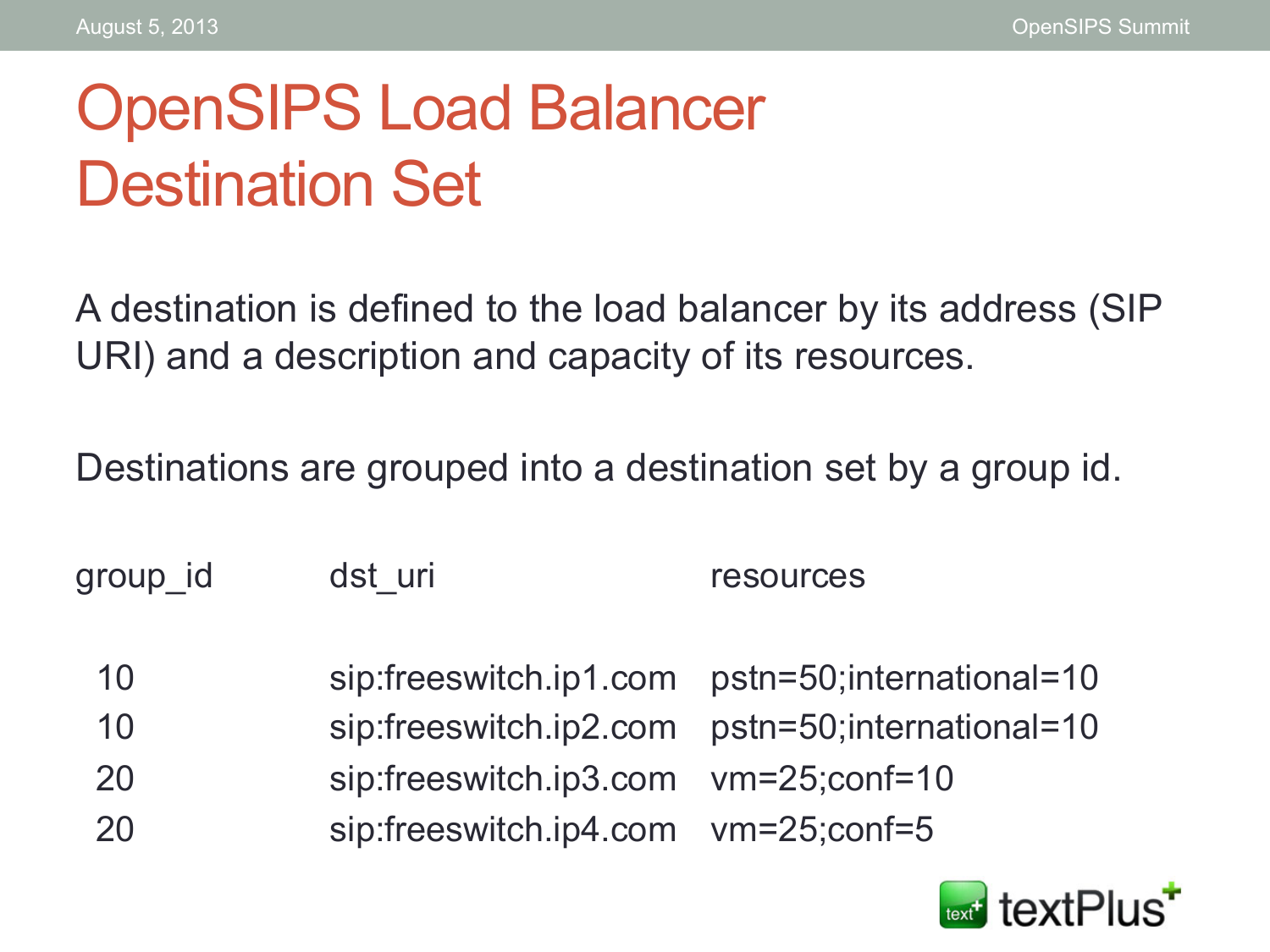#### OpenSIPS Load Balancer Destination Set

A destination is defined to the load balancer by its address (SIP URI) and a description and capacity of its resources.

Destinations are grouped into a destination set by a group id.

group\_id dst\_uri contains the cources

- 10 sip:freeswitch.ip1.com pstn=50;international=10
- 10 sip:freeswitch.ip2.com pstn=50;international=10
- 20 sip:freeswitch.ip3.com vm=25;conf=10
- 20 sip:freeswitch.ip4.com vm=25;conf=5

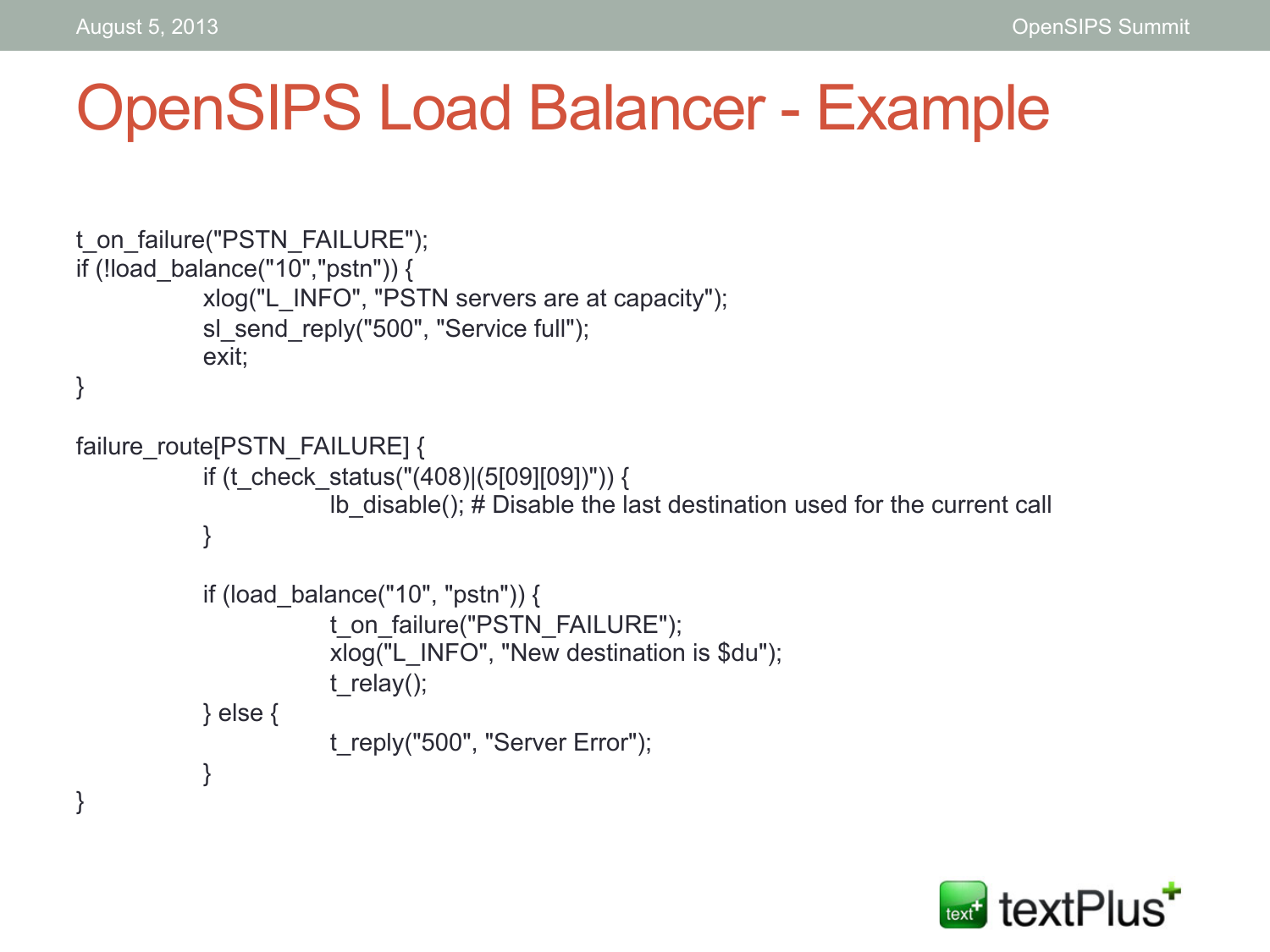#### OpenSIPS Load Balancer - Example

```
t_on_failure("PSTN_FAILURE"); 
if (!load_balance("10","pstn")) { 
            xlog("L_INFO", "PSTN servers are at capacity"); 
            sl_send_reply("500", "Service full");
            exit; 
} 
failure_route[PSTN_FAILURE] {
            if (t_check_status("(408)|(5[09][09])")) {
                         lb_disable(); # Disable the last destination used for the current call 
            } 
            if (load balance("10", "pstn")) {
                        t_on_failure("PSTN_FAILURE");
                         xlog("L_INFO", "New destination is $du"); 
                        t_relay();
            } else { 
                        t_reply("500", "Server Error");
            }
}
```
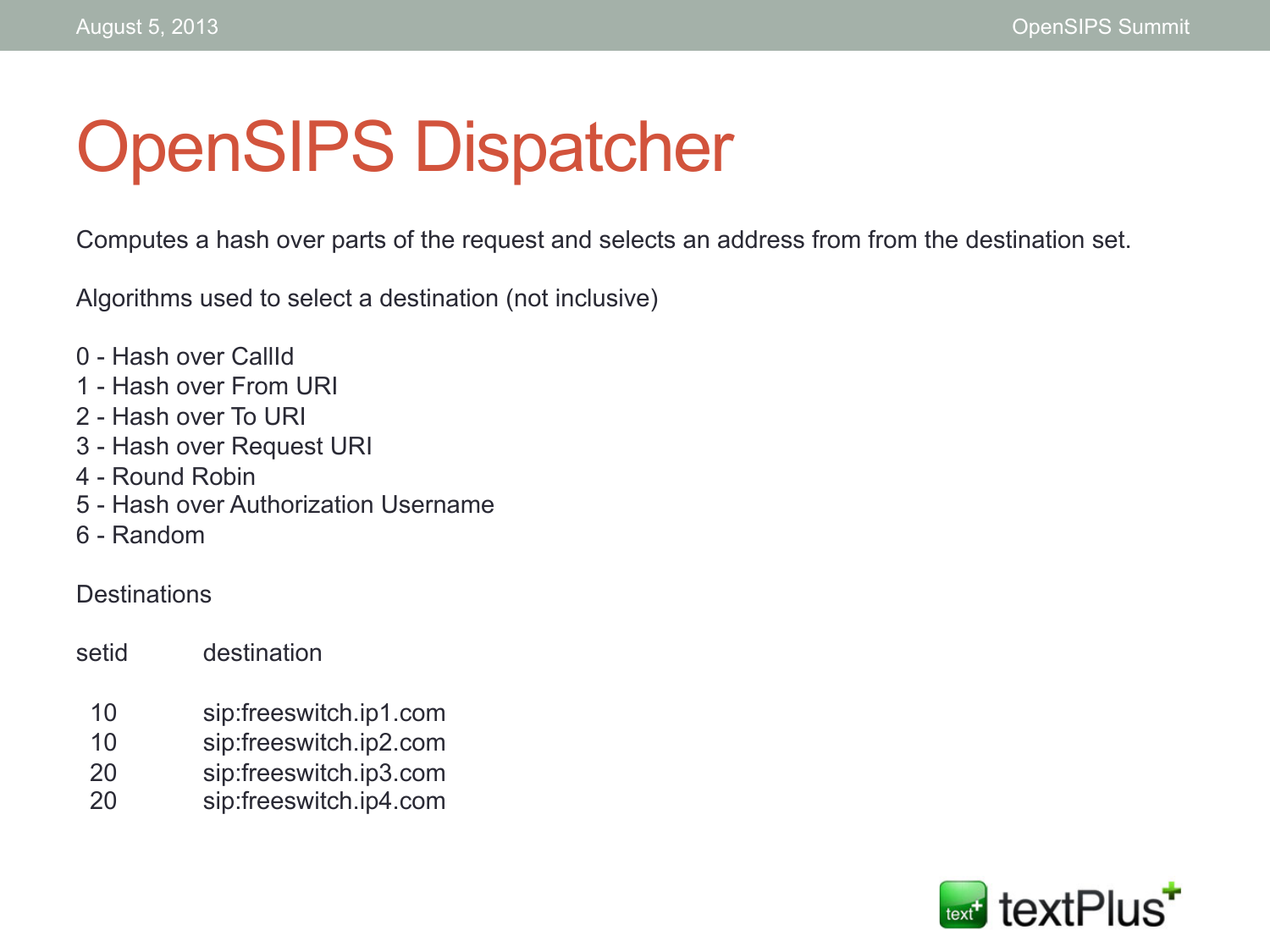# OpenSIPS Dispatcher

Computes a hash over parts of the request and selects an address from from the destination set.

Algorithms used to select a destination (not inclusive)

- 0 Hash over CallId
- 1 Hash over From URI
- 2 Hash over To URI
- 3 Hash over Request URI
- 4 Round Robin
- 5 Hash over Authorization Username
- 6 Random

#### **Destinations**

setid destination

- 10 sip:freeswitch.ip1.com
- 10 sip:freeswitch.ip2.com
- 20 sip:freeswitch.ip3.com
- 20 sip:freeswitch.ip4.com

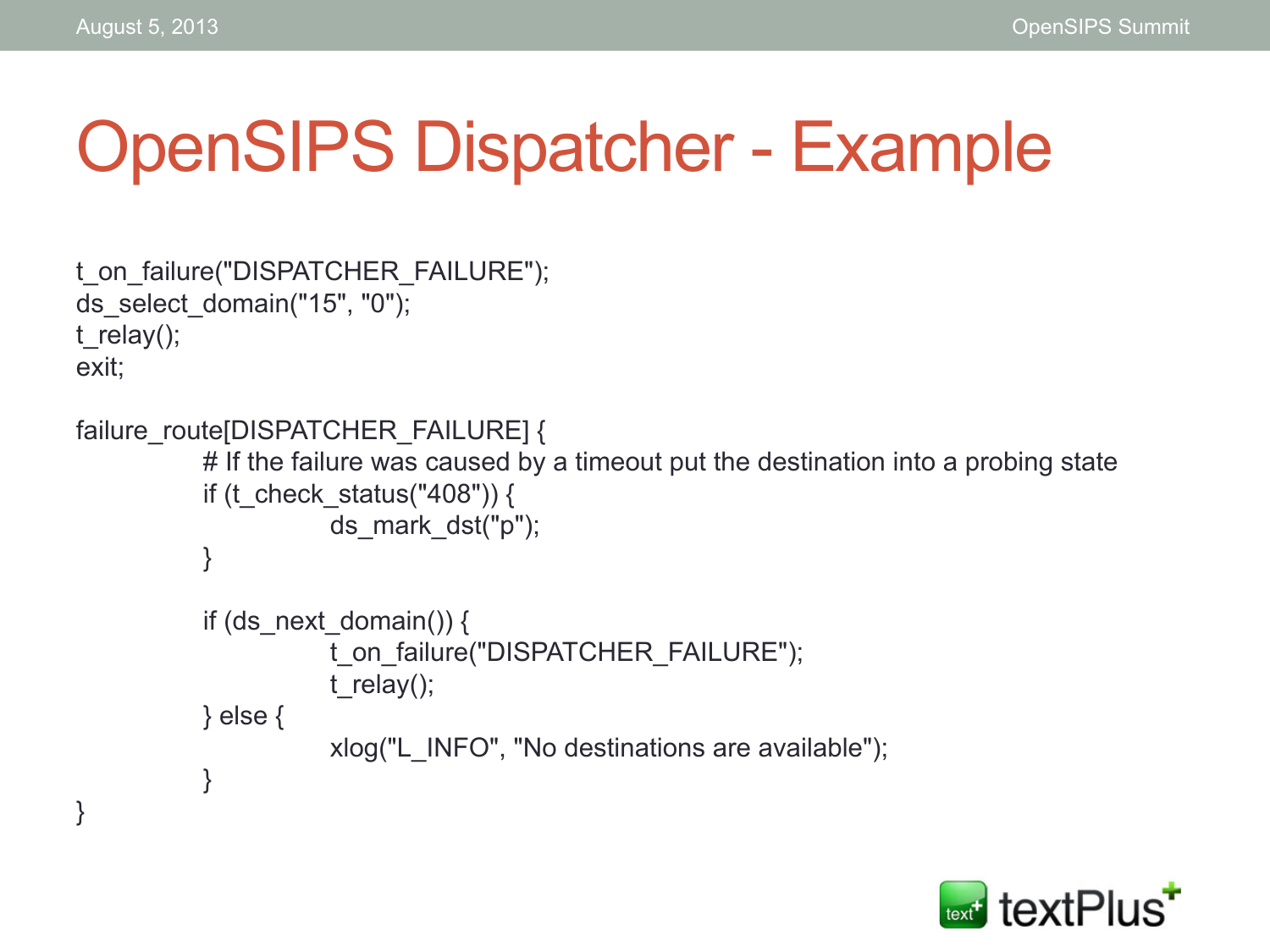}

#### OpenSIPS Dispatcher - Example

```
t_on_failure("DISPATCHER_FAILURE"); 
ds select domain("15", "0");
t_relay();
exit;
```

```
failure_route[DISPATCHER_FAILURE] {
           # If the failure was caused by a timeout put the destination into a probing state
           if (t_check_status("408")) {
                       ds_mark_dst("p"); 
           } 
           if (ds next domain()) {
                       t_on_failure("DISPATCHER_FAILURE"); 
                      t_relay();
           } else { 
                       xlog("L_INFO", "No destinations are available"); 
           }
```
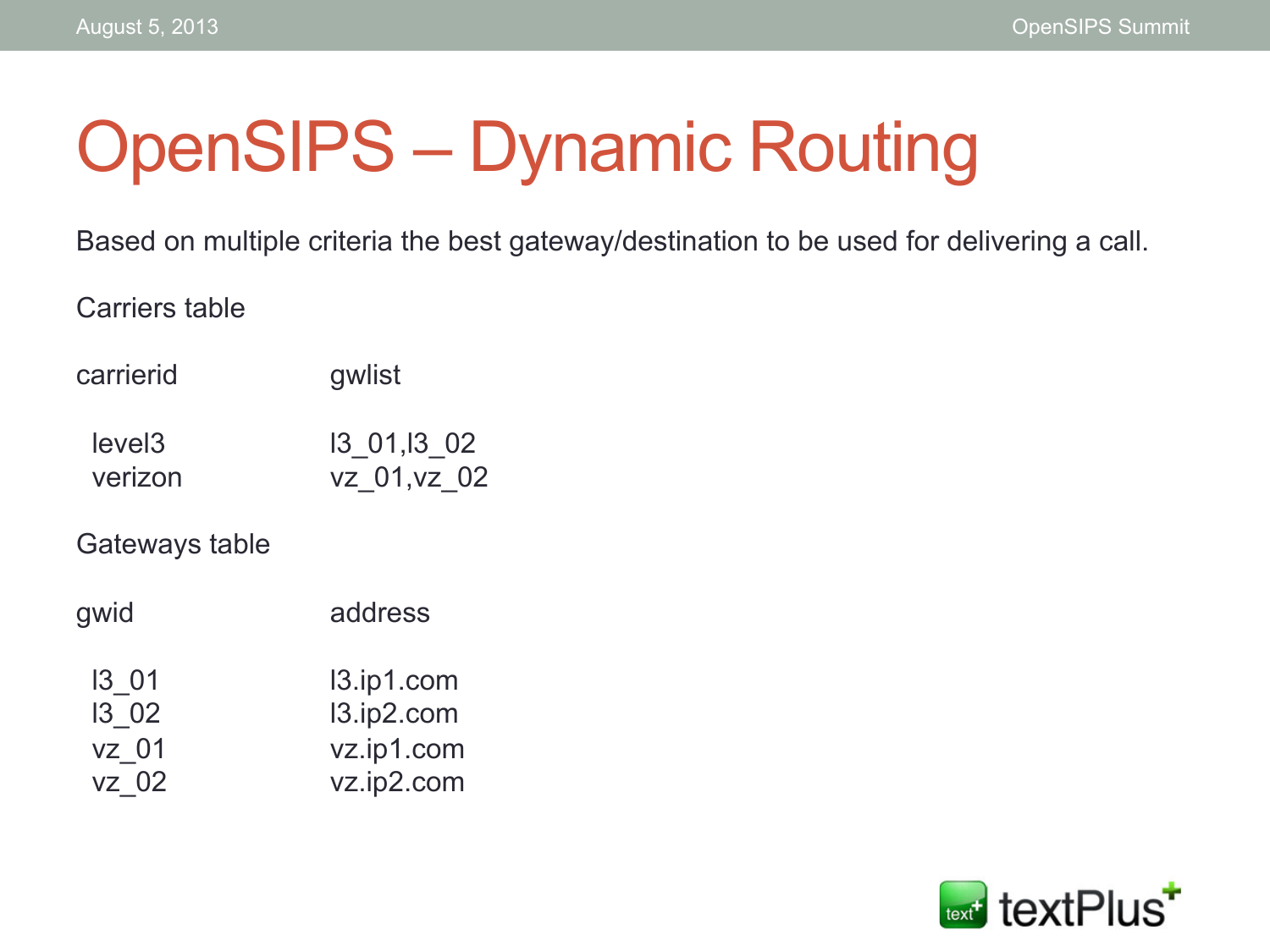# OpenSIPS – Dynamic Routing

Based on multiple criteria the best gateway/destination to be used for delivering a call.

Carriers table

| carrierid          | gwlist      |
|--------------------|-------------|
| level <sub>3</sub> | 13 01,13 02 |

verizon vz\_01,vz\_02

Gateways table

| gwid  | address    |
|-------|------------|
| 13 01 | 13.ip1.com |
| 13 02 | 13.ip2.com |
| vz 01 | vz.ip1.com |
| vz 02 | vz.ip2.com |

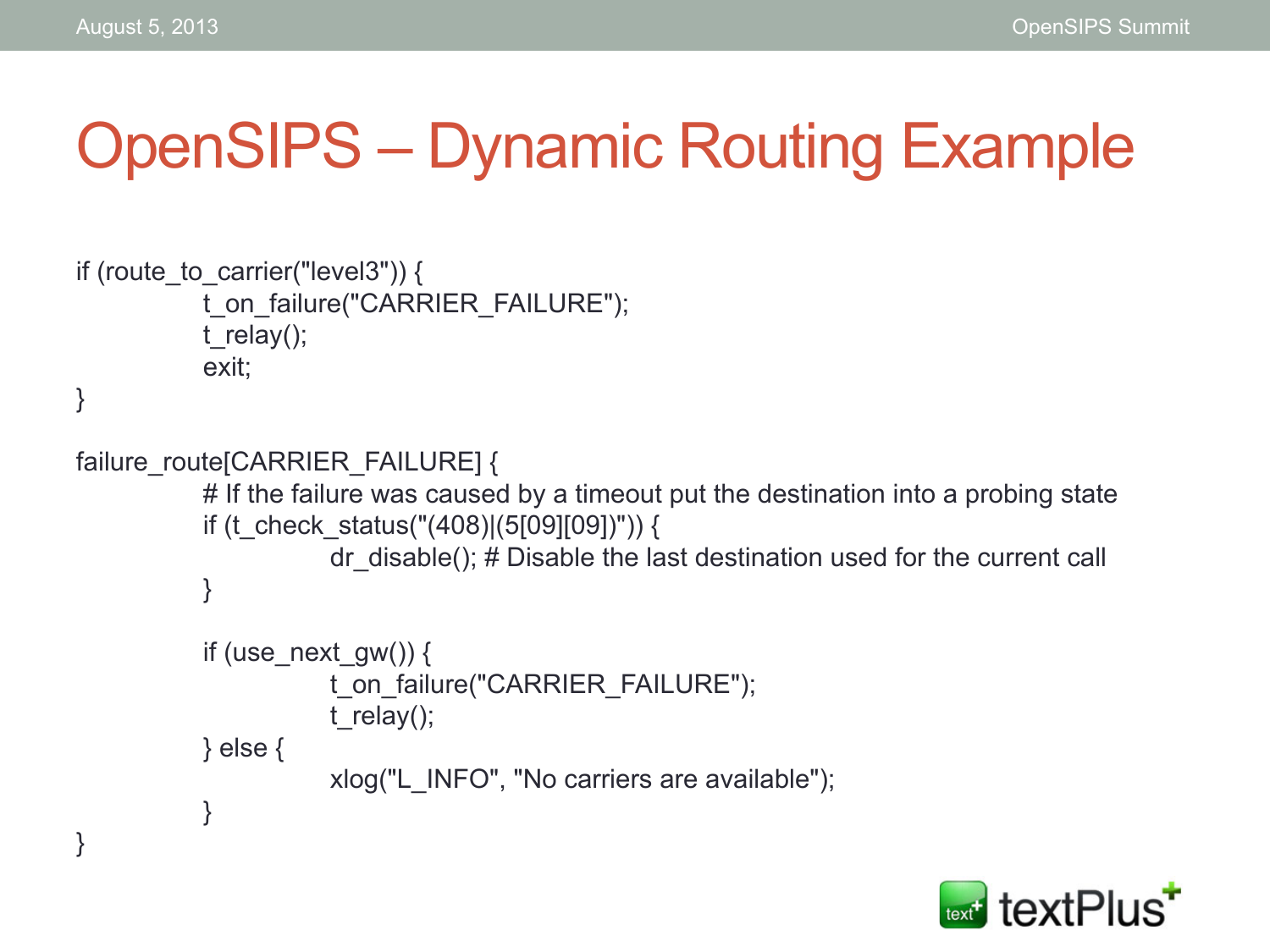#### OpenSIPS – Dynamic Routing Example

```
if (route to carrier("level3")) {
           t_on_failure("CARRIER_FAILURE"); 
           t_relay();
           exit; 
} 
failure_route[CARRIER_FAILURE] {
           # If the failure was caused by a timeout put the destination into a probing state
           if (t_check_status("(408)|(5[09][09])")) {
                      dr disable(); # Disable the last destination used for the current call
           } 
           if (use next gw()) {
                      t_on_failure("CARRIER_FAILURE");
                      t_relay();
           } else { 
                       xlog("L_INFO", "No carriers are available"); 
           } 
}
```